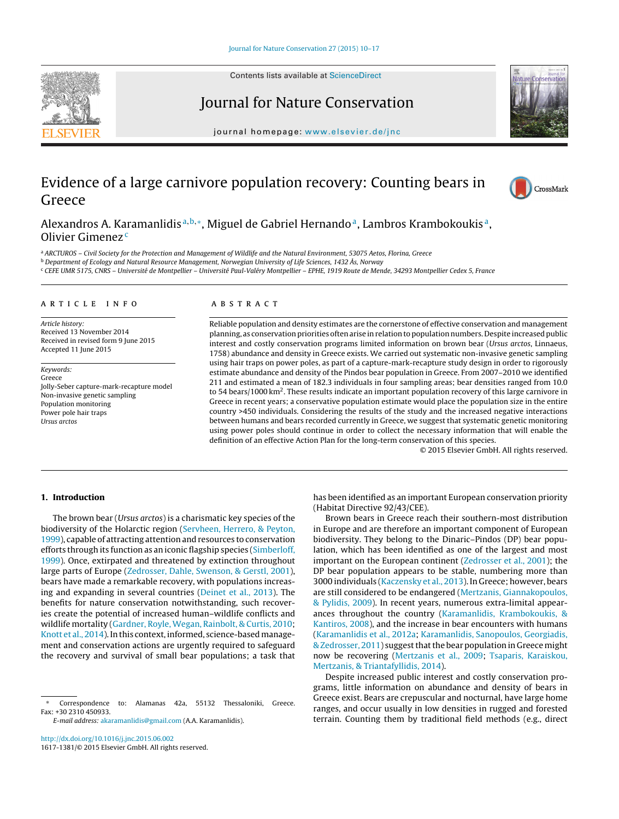Contents lists available at [ScienceDirect](http://www.sciencedirect.com/science/journal/16171381)





iournal homepage: www.elsevier.de/inc

# Evidence of a large carnivore population recovery: Counting bears in Greece



Alexandros A. Karamanlidis<sup>a, b,\*</sup>, Miguel de Gabriel Hernando<sup>a</sup>, Lambros Krambokoukis<sup>a</sup>, Olivier Gimenez<sup>c</sup>

a ARCTUROS - Civil Society for the Protection and Management of Wildlife and the Natural Environment, 53075 Aetos, Florina, Greece

<sup>b</sup> Department of Ecology and Natural Resource Management, Norwegian University of Life Sciences, 1432 Ås, Norway

<sup>c</sup> CEFE UMR 5175, CNRS – Université de Montpellier – Université Paul-Valéry Montpellier – EPHE, 1919 Route de Mende, 34293 Montpellier Cedex 5, France

# a r t i c l e i n f o

Article history: Received 13 November 2014 Received in revised form 9 June 2015 Accepted 11 June 2015

Keywords: Greece Jolly-Seber capture-mark-recapture model Non-invasive genetic sampling Population monitoring Power pole hair traps Ursus arctos

#### A B S T R A C T

Reliable population and density estimates are the cornerstone of effective conservation and management planning, as conservation priorities often arise in relation to population numbers. Despite increased public interest and costly conservation programs limited information on brown bear (Ursus arctos, Linnaeus, 1758) abundance and density in Greece exists. We carried out systematic non-invasive genetic sampling using hair traps on power poles, as part of a capture-mark-recapture study design in order to rigorously estimate abundance and density of the Pindos bear population in Greece. From 2007–2010 we identified 211 and estimated a mean of 182.3 individuals in four sampling areas; bear densities ranged from 10.0 to 54 bears/1000 km<sup>2</sup>. These results indicate an important population recovery of this large carnivore in Greece in recent years; a conservative population estimate would place the population size in the entire country >450 individuals. Considering the results of the study and the increased negative interactions between humans and bears recorded currently in Greece, we suggest that systematic genetic monitoring using power poles should continue in order to collect the necessary information that will enable the definition of an effective Action Plan for the long-term conservation of this species.

© 2015 Elsevier GmbH. All rights reserved.

# **1. Introduction**

The brown bear (Ursus arctos) is a charismatic key species of the biodiversity of the Holarctic region [\(Servheen,](#page-7-0) [Herrero,](#page-7-0) [&](#page-7-0) [Peyton,](#page-7-0) [1999\),](#page-7-0) capable of attracting attention and resources to conservation efforts through its function as an iconic flagship species ([Simberloff,](#page-7-0) [1999\).](#page-7-0) Once, extirpated and threatened by extinction throughout large parts of Europe [\(Zedrosser,](#page-7-0) [Dahle,](#page-7-0) [Swenson,](#page-7-0) [&](#page-7-0) [Gerstl,](#page-7-0) [2001\),](#page-7-0) bears have made a remarkable recovery, with populations increasing and expanding in several countries ([Deinet](#page-6-0) et [al.,](#page-6-0) [2013\).](#page-6-0) The benefits for nature conservation notwithstanding, such recoveries create the potential of increased human–wildlife conflicts and wildlife mortality ([Gardner,](#page-6-0) [Royle,](#page-6-0) [Wegan,](#page-6-0) [Rainbolt,](#page-6-0) [&](#page-6-0) [Curtis,](#page-6-0) [2010;](#page-6-0) [Knott](#page-6-0) et [al.,](#page-6-0) [2014\).](#page-6-0) In this context, informed, science-based management and conservation actions are urgently required to safeguard the recovery and survival of small bear populations; a task that

Correspondence to: Alamanas 42a, 55132 Thessaloniki, Greece. Fax: +30 2310 450933.

E-mail address: [akaramanlidis@gmail.com](mailto:akaramanlidis@gmail.com) (A.A. Karamanlidis).

has been identified as an important European conservation priority (Habitat Directive 92/43/CEE).

Brown bears in Greece reach their southern-most distribution in Europe and are therefore an important component of European biodiversity. They belong to the Dinaric–Pindos (DP) bear population, which has been identified as one of the largest and most important on the European continent [\(Zedrosser](#page-7-0) et [al.,](#page-7-0) [2001\);](#page-7-0) the DP bear population appears to be stable, numbering more than 3000 individuals ([Kaczensky](#page-6-0) et [al.,](#page-6-0) [2013\).](#page-6-0) In Greece; however, bears are still considered to be endangered [\(Mertzanis,](#page-7-0) [Giannakopoulos,](#page-7-0) [&](#page-7-0) [Pylidis,](#page-7-0) [2009\).](#page-7-0) In recent years, numerous extra-limital appearances throughout the country ([Karamanlidis,](#page-6-0) [Krambokoukis,](#page-6-0) [&](#page-6-0) [Kantiros,](#page-6-0) [2008\),](#page-6-0) and the increase in bear encounters with humans [\(Karamanlidis](#page-6-0) et [al.,](#page-6-0) [2012a;](#page-6-0) [Karamanlidis,](#page-6-0) [Sanopoulos,](#page-6-0) [Georgiadis,](#page-6-0) [&](#page-6-0) [Zedrosser,](#page-6-0) [2011\)](#page-6-0) suggest that the bear population in Greece might now be recovering [\(Mertzanis](#page-7-0) et [al.,](#page-7-0) [2009;](#page-7-0) [Tsaparis,](#page-7-0) [Karaiskou,](#page-7-0) [Mertzanis,](#page-7-0) [&](#page-7-0) [Triantafyllidis,](#page-7-0) [2014\).](#page-7-0)

Despite increased public interest and costly conservation programs, little information on abundance and density of bears in Greece exist. Bears are crepuscular and nocturnal, have large home ranges, and occur usually in low densities in rugged and forested terrain. Counting them by traditional field methods (e.g., direct

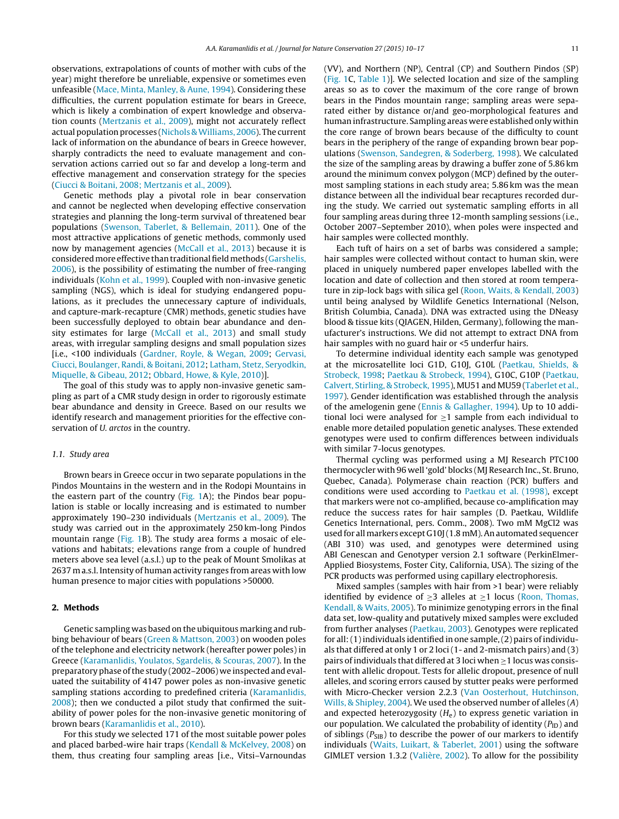observations, extrapolations of counts of mother with cubs of the year) might therefore be unreliable, expensive or sometimes even unfeasible ([Mace,](#page-7-0) [Minta,](#page-7-0) [Manley,](#page-7-0) [&](#page-7-0) [Aune,](#page-7-0) [1994\).](#page-7-0) Considering these difficulties, the current population estimate for bears in Greece, which is likely a combination of expert knowledge and observation counts ([Mertzanis](#page-7-0) et [al.,](#page-7-0) [2009\),](#page-7-0) might not accurately reflect actual population processes [\(Nichols](#page-7-0) & Williams, [2006\).](#page-7-0) The current lack of information on the abundance of bears in Greece however, sharply contradicts the need to evaluate management and conservation actions carried out so far and develop a long-term and effective management and conservation strategy for the species ([Ciucci](#page-6-0) [&](#page-6-0) [Boitani,](#page-6-0) [2008;](#page-6-0) [Mertzanis](#page-6-0) et [al.,](#page-6-0) [2009\).](#page-6-0)

Genetic methods play a pivotal role in bear conservation and cannot be neglected when developing effective conservation strategies and planning the long-term survival of threatened bear populations ([Swenson,](#page-7-0) [Taberlet,](#page-7-0) [&](#page-7-0) [Bellemain,](#page-7-0) [2011\).](#page-7-0) One of the most attractive applications of genetic methods, commonly used now by management agencies [\(McCall](#page-7-0) et [al.,](#page-7-0) [2013\)](#page-7-0) because it is considered more effective than traditional field methods [\(Garshelis,](#page-6-0) [2006\),](#page-6-0) is the possibility of estimating the number of free-ranging individuals [\(Kohn](#page-6-0) et [al.,](#page-6-0) [1999\).](#page-6-0) Coupled with non-invasive genetic sampling (NGS), which is ideal for studying endangered populations, as it precludes the unnecessary capture of individuals, and capture-mark-recapture (CMR) methods, genetic studies have been successfully deployed to obtain bear abundance and density estimates for large [\(McCall](#page-7-0) et [al.,](#page-7-0) [2013\)](#page-7-0) and small study areas, with irregular sampling designs and small population sizes [i.e., <100 individuals [\(Gardner,](#page-6-0) [Royle,](#page-6-0) [&](#page-6-0) [Wegan,](#page-6-0) [2009;](#page-6-0) [Gervasi,](#page-6-0) [Ciucci,](#page-6-0) [Boulanger,](#page-6-0) [Randi,](#page-6-0) [&](#page-6-0) [Boitani,](#page-6-0) [2012;](#page-6-0) [Latham,](#page-7-0) [Stetz,](#page-7-0) [Seryodkin,](#page-7-0) [Miquelle,](#page-7-0) [&](#page-7-0) [Gibeau,](#page-7-0) [2012;](#page-7-0) [Obbard,](#page-7-0) [Howe,](#page-7-0) [&](#page-7-0) [Kyle,](#page-7-0) [2010\)\]](#page-7-0).

The goal of this study was to apply non-invasive genetic sampling as part of a CMR study design in order to rigorously estimate bear abundance and density in Greece. Based on our results we identify research and management priorities for the effective conservation of U. arctos in the country.

#### 1.1. Study area

Brown bears in Greece occur in two separate populations in the Pindos Mountains in the western and in the Rodopi Mountains in the eastern part of the country [\(Fig.](#page-2-0) 1A); the Pindos bear population is stable or locally increasing and is estimated to number approximately 190–230 individuals [\(Mertzanis](#page-7-0) et [al.,](#page-7-0) [2009\).](#page-7-0) The study was carried out in the approximately 250 km-long Pindos mountain range ([Fig.](#page-2-0) 1B). The study area forms a mosaic of elevations and habitats; elevations range from a couple of hundred meters above sea level (a.s.l.) up to the peak of Mount Smolikas at 2637 m a.s.l. Intensity of human activity ranges from areas with low human presence to major cities with populations >50000.

# **2. Methods**

Genetic sampling was based on the ubiquitous marking and rubbing behaviour of bears [\(Green](#page-6-0) [&](#page-6-0) [Mattson,](#page-6-0) [2003\)](#page-6-0) on wooden poles of the telephone and electricity network (hereafter power poles) in Greece [\(Karamanlidis,](#page-6-0) [Youlatos,](#page-6-0) [Sgardelis,](#page-6-0) [&](#page-6-0) [Scouras,](#page-6-0) [2007\).](#page-6-0) In the preparatory phase ofthe study (2002–2006) we inspected and evaluated the suitability of 4147 power poles as non-invasive genetic sampling stations according to predefined criteria ([Karamanlidis,](#page-6-0) [2008\);](#page-6-0) then we conducted a pilot study that confirmed the suitability of power poles for the non-invasive genetic monitoring of brown bears ([Karamanlidis](#page-6-0) et [al.,](#page-6-0) [2010\).](#page-6-0)

For this study we selected 171 of the most suitable power poles and placed barbed-wire hair traps ([Kendall](#page-6-0) [&](#page-6-0) [McKelvey,](#page-6-0) [2008\)](#page-6-0) on them, thus creating four sampling areas [i.e., Vitsi–Varnoundas (VV), and Northern (NP), Central (CP) and Southern Pindos (SP) [\(Fig.](#page-2-0) 1C, [Table](#page-2-0) 1)]. We selected location and size of the sampling areas so as to cover the maximum of the core range of brown bears in the Pindos mountain range; sampling areas were separated either by distance or/and geo-morphological features and human infrastructure. Sampling areas were established only within the core range of brown bears because of the difficulty to count bears in the periphery of the range of expanding brown bear populations [\(Swenson,](#page-7-0) [Sandegren,](#page-7-0) [&](#page-7-0) [Soderberg,](#page-7-0) [1998\).](#page-7-0) We calculated the size of the sampling areas by drawing a buffer zone of 5.86 km around the minimum convex polygon (MCP) defined by the outermost sampling stations in each study area; 5.86 km was the mean distance between all the individual bear recaptures recorded during the study. We carried out systematic sampling efforts in all four sampling areas during three 12-month sampling sessions (i.e., October 2007–September 2010), when poles were inspected and hair samples were collected monthly.

Each tuft of hairs on a set of barbs was considered a sample; hair samples were collected without contact to human skin, were placed in uniquely numbered paper envelopes labelled with the location and date of collection and then stored at room temperature in zip-lock bags with silica gel [\(Roon,](#page-7-0) [Waits,](#page-7-0) [&](#page-7-0) [Kendall,](#page-7-0) [2003\)](#page-7-0) until being analysed by Wildlife Genetics International (Nelson, British Columbia, Canada). DNA was extracted using the DNeasy blood & tissue kits (QIAGEN, Hilden, Germany), following the manufacturer's instructions. We did not attempt to extract DNA from hair samples with no guard hair or <5 underfur hairs.

To determine individual identity each sample was genotyped at the microsatellite loci G1D, G10J, G10L [\(Paetkau,](#page-7-0) [Shields,](#page-7-0) [&](#page-7-0) [Strobeck,](#page-7-0) [1998;](#page-7-0) [Paetkau](#page-7-0) [&](#page-7-0) [Strobeck,](#page-7-0) [1994\),](#page-7-0) G10C, G10P ([Paetkau,](#page-7-0) [Calvert,](#page-7-0) [Stirling,](#page-7-0) [&](#page-7-0) [Strobeck,](#page-7-0) [1995\),](#page-7-0) MU51 and MU59 [\(Taberlet](#page-7-0) et [al.,](#page-7-0) [1997\).](#page-7-0) Gender identification was established through the analysis of the amelogenin gene [\(Ennis](#page-6-0) [&](#page-6-0) [Gallagher,](#page-6-0) [1994\).](#page-6-0) Up to 10 additional loci were analysed for  $\geq$ 1 sample from each individual to enable more detailed population genetic analyses. These extended genotypes were used to confirm differences between individuals with similar 7-locus genotypes.

Thermal cycling was performed using a MJ Research PTC100 thermocycler with 96 well 'gold' blocks (MJ Research Inc., St. Bruno, Quebec, Canada). Polymerase chain reaction (PCR) buffers and conditions were used according to [Paetkau](#page-7-0) et [al.](#page-7-0) [\(1998\),](#page-7-0) except that markers were not co-amplified, because co-amplification may reduce the success rates for hair samples (D. Paetkau, Wildlife Genetics International, pers. Comm., 2008). Two mM MgCl2 was used for allmarkers except G10J(1.8 mM).An automated sequencer (ABI 310) was used, and genotypes were determined using ABI Genescan and Genotyper version 2.1 software (PerkinElmer-Applied Biosystems, Foster City, California, USA). The sizing of the PCR products was performed using capillary electrophoresis.

Mixed samples (samples with hair from >1 bear) were reliably identified by evidence of  $>3$  alleles at  $>1$  locus ([Roon,](#page-7-0) [Thomas,](#page-7-0) [Kendall,](#page-7-0) [&](#page-7-0) [Waits,](#page-7-0) [2005\).](#page-7-0) To minimize genotyping errors in the final data set, low-quality and putatively mixed samples were excluded from further analyses [\(Paetkau,](#page-7-0) [2003\).](#page-7-0) Genotypes were replicated for all:  $(1)$  individuals identified in one sample,  $(2)$  pairs of individuals that differed at only 1 or 2 loci(1- and 2-mismatch pairs) and (3) pairs of individuals that differed at 3 loci when  $\geq$  1 locus was consistent with allelic dropout. Tests for allelic dropout, presence of null alleles, and scoring errors caused by stutter peaks were performed with Micro-Checker version 2.2.3 ([Van](#page-7-0) [Oosterhout,](#page-7-0) [Hutchinson,](#page-7-0) [Wills,](#page-7-0) [&](#page-7-0) [Shipley,](#page-7-0) [2004\).](#page-7-0) We used the observed number of alleles (A) and expected heterozygosity  $(H_e)$  to express genetic variation in our population. We calculated the probability of identity  $(P_{\text{ID}})$  and of siblings ( $P_{\text{SIB}}$ ) to describe the power of our markers to identify individuals ([Waits,](#page-7-0) [Luikart,](#page-7-0) [&](#page-7-0) [Taberlet,](#page-7-0) [2001\)](#page-7-0) using the software GIMLET version 1.3.2 [\(Valière,](#page-7-0) [2002\).](#page-7-0) To allow for the possibility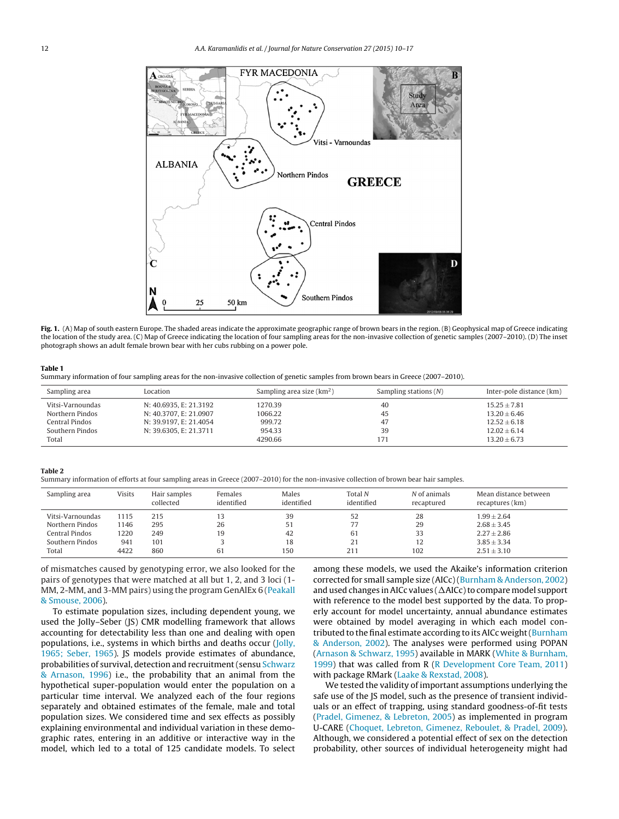<span id="page-2-0"></span>

**Fig. 1.** (A) Map of south eastern Europe. The shaded areas indicate the approximate geographic range of brown bears in the region. (B) Geophysical map of Greece indicating the location of the study area. (C) Map of Greece indicating the location of four sampling areas for the non-invasive collection of genetic samples (2007–2010). (D) The inset photograph shows an adult female brown bear with her cubs rubbing on a power pole.

#### **Table 1**

Summary information of four sampling areas for the non-invasive collection of genetic samples from brown bears in Greece (2007–2010).

| Sampling area    | Location               | Sampling area size $(km2)$ | Sampling stations $(N)$ | Inter-pole distance (km) |
|------------------|------------------------|----------------------------|-------------------------|--------------------------|
| Vitsi-Varnoundas | N: 40.6935, E: 21.3192 | 1270.39                    | 40                      | $15.25 + 7.81$           |
| Northern Pindos  | N: 40.3707, E: 21.0907 | 1066.22                    | 45                      | $13.20 + 6.46$           |
| Central Pindos   | N: 39.9197. E: 21.4054 | 999.72                     | 47                      | $12.52 \pm 6.18$         |
| Southern Pindos  | N: 39.6305, E: 21.3711 | 954.33                     | 39                      | $12.02 \pm 6.14$         |
| Total            |                        | 4290.66                    | 171                     | $13.20 \pm 6.73$         |

#### **Table 2**

Summary information of efforts at four sampling areas in Greece (2007–2010) for the non-invasive collection of brown bear hair samples.

| Sampling area    | <b>Visits</b> | Hair samples<br>collected | Females<br>identified | Males<br>identified | Total N<br>identified | N of animals<br>recaptured | Mean distance between<br>recaptures (km) |
|------------------|---------------|---------------------------|-----------------------|---------------------|-----------------------|----------------------------|------------------------------------------|
| Vitsi-Varnoundas | 1115          | 215                       | 13                    | 39                  | 52                    | 28                         | $1.99 \pm 2.64$                          |
| Northern Pindos  | 1146          | 295                       | 26                    | 51                  | 77                    | 29                         | $2.68 + 3.45$                            |
| Central Pindos   | 1220          | 249                       | 19                    | 42                  | 61                    | 33                         | $2.27 \pm 2.86$                          |
| Southern Pindos  | 941           | 101                       |                       | 18                  | 21                    | 12                         | $3.85 \pm 3.34$                          |
| Total            | 4422          | 860                       | 61                    | 150                 | 211                   | 102                        | $2.51 \pm 3.10$                          |

of mismatches caused by genotyping error, we also looked for the pairs of genotypes that were matched at all but 1, 2, and 3 loci (1- MM, 2-MM, and 3-MM pairs) using the program GenAlEx 6 [\(Peakall](#page-7-0) [&](#page-7-0) [Smouse,](#page-7-0) [2006\).](#page-7-0)

To estimate population sizes, including dependent young, we used the Jolly–Seber (JS) CMR modelling framework that allows accounting for detectability less than one and dealing with open populations, i.e., systems in which births and deaths occur ([Jolly,](#page-6-0) [1965;](#page-6-0) [Seber,](#page-6-0) [1965\).](#page-6-0) JS models provide estimates of abundance, probabilities of survival, detection and recruitment(sensu [Schwarz](#page-7-0) [&](#page-7-0) [Arnason,](#page-7-0) [1996\)](#page-7-0) i.e., the probability that an animal from the hypothetical super-population would enter the population on a particular time interval. We analyzed each of the four regions separately and obtained estimates of the female, male and total population sizes. We considered time and sex effects as possibly explaining environmental and individual variation in these demographic rates, entering in an additive or interactive way in the model, which led to a total of 125 candidate models. To select

among these models, we used the Akaike's information criterion corrected for small sample size (AICc)[\(Burnham](#page-6-0) [&](#page-6-0) [Anderson,](#page-6-0) [2002\)](#page-6-0) and used changes in AICc values (  $\Delta$ AICc) to compare model support with reference to the model best supported by the data. To properly account for model uncertainty, annual abundance estimates were obtained by model averaging in which each model con-tributed to the final estimate according to its AICc weight ([Burnham](#page-6-0) [&](#page-6-0) [Anderson,](#page-6-0) [2002\).](#page-6-0) The analyses were performed using POPAN [\(Arnason](#page-6-0) [&](#page-6-0) [Schwarz,](#page-6-0) [1995\)](#page-6-0) available in MARK ([White](#page-7-0) [&](#page-7-0) [Burnham,](#page-7-0) [1999\)](#page-7-0) that was called from R ([R](#page-7-0) [Development](#page-7-0) [Core](#page-7-0) [Team,](#page-7-0) [2011\)](#page-7-0) with package RMark ([Laake](#page-7-0) [&](#page-7-0) [Rexstad,](#page-7-0) [2008\).](#page-7-0)

We tested the validity of important assumptions underlying the safe use of the JS model, such as the presence of transient individuals or an effect of trapping, using standard goodness-of-fit tests [\(Pradel,](#page-7-0) [Gimenez,](#page-7-0) [&](#page-7-0) [Lebreton,](#page-7-0) [2005\)](#page-7-0) as implemented in program U-CARE [\(Choquet,](#page-6-0) [Lebreton,](#page-6-0) [Gimenez,](#page-6-0) [Reboulet,](#page-6-0) [&](#page-6-0) [Pradel,](#page-6-0) [2009\).](#page-6-0) Although, we considered a potential effect of sex on the detection probability, other sources of individual heterogeneity might had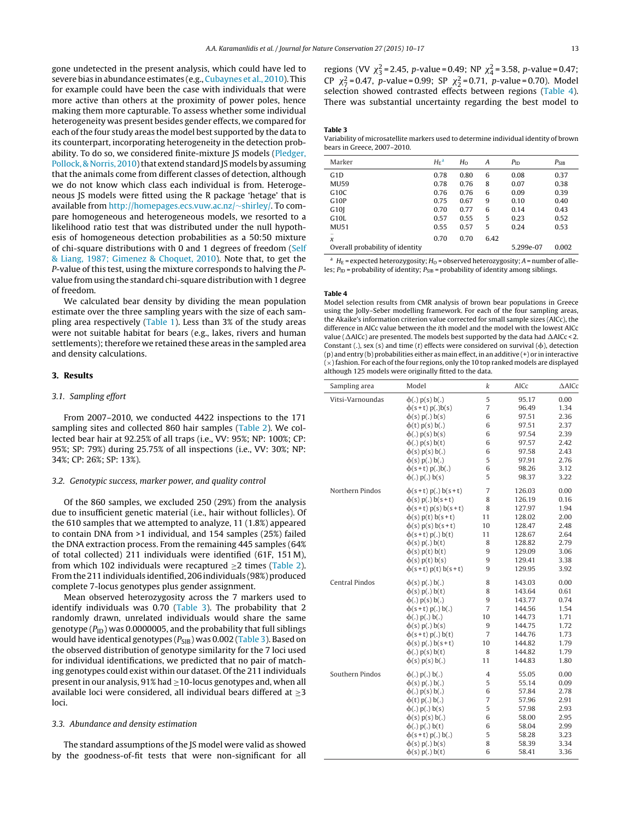gone undetected in the present analysis, which could have led to severe bias in abundance estimates (e.g., [Cubaynes](#page-6-0) et [al.,](#page-6-0) [2010\).](#page-6-0) This for example could have been the case with individuals that were more active than others at the proximity of power poles, hence making them more capturable. To assess whether some individual heterogeneity was present besides gender effects, we compared for each of the four study areas the model best supported by the data to its counterpart, incorporating heterogeneity in the detection prob-ability. To do so, we considered finite-mixture JS models ([Pledger,](#page-7-0) [Pollock,](#page-7-0) [&](#page-7-0) [Norris,](#page-7-0) 2010) that extend standard JS models by assuming that the animals come from different classes of detection, although we do not know which class each individual is from. Heterogeneous JS models were fitted using the R package 'hetage' that is available from [http://homepages.ecs.vuw.ac.nz/](http://homepages.ecs.vuw.ac.nz/~shirley/)∼[shirley](http://homepages.ecs.vuw.ac.nz/~shirley/)/. To compare homogeneous and heterogeneous models, we resorted to a likelihood ratio test that was distributed under the null hypothesis of homogeneous detection probabilities as a 50:50 mixture of chi-square distributions with 0 and 1 degrees of freedom [\(Self](#page-7-0) [&](#page-7-0) [Liang,](#page-7-0) [1987;](#page-7-0) [Gimenez](#page-7-0) [&](#page-7-0) [Choquet,](#page-7-0) [2010\).](#page-7-0) Note that, to get the P-value of this test, using the mixture corresponds to halving the Pvalue fromusing the standard chi-square distribution with 1 degree of freedom.

We calculated bear density by dividing the mean population estimate over the three sampling years with the size of each sampling area respectively [\(Table](#page-2-0) 1). Less than 3% of the study areas were not suitable habitat for bears (e.g., lakes, rivers and human settlements); therefore we retained these areas in the sampled area and density calculations.

# **3. Results**

# 3.1. Sampling effort

From 2007–2010, we conducted 4422 inspections to the 171 sampling sites and collected 860 hair samples ([Table](#page-2-0) 2). We collected bear hair at 92.25% of all traps (i.e., VV: 95%; NP: 100%; CP: 95%; SP: 79%) during 25.75% of all inspections (i.e., VV: 30%; NP: 34%; CP: 26%; SP: 13%).

#### 3.2. Genotypic success, marker power, and quality control

Of the 860 samples, we excluded 250 (29%) from the analysis due to insufficient genetic material (i.e., hair without follicles). Of the 610 samples that we attempted to analyze, 11 (1.8%) appeared to contain DNA from >1 individual, and 154 samples (25%) failed the DNA extraction process. From the remaining 445 samples (64% of total collected) 211 individuals were identified (61F, 151 M), from which 102 individuals were recaptured  $\geq$ 2 times [\(Table](#page-2-0) 2). From the 211 individuals identified, 206 individuals (98%) produced complete 7-locus genotypes plus gender assignment.

Mean observed heterozygosity across the 7 markers used to identify individuals was 0.70 (Table 3). The probability that 2 randomly drawn, unrelated individuals would share the same genotype  $(P_{\text{ID}})$  was 0.0000005, and the probability that full siblings would have identical genotypes ( $P_{\text{SIB}}$ ) was 0.002 (Table 3). Based on the observed distribution of genotype similarity for the 7 loci used for individual identifications, we predicted that no pair of matching genotypes could exist within our dataset. Of the 211 individuals present in our analysis,  $91\%$  had  $\geq 10$ -locus genotypes and, when all available loci were considered, all individual bears differed at  $\geq$ 3 loci.

## 3.3. Abundance and density estimation

The standard assumptions of the JS model were valid as showed by the goodness-of-fit tests that were non-significant for all

regions (VV  $\chi_3^2$  = 2.45, p-value = 0.49; NP  $\chi_4^2$  = 3.58, p-value = 0.47; CP  $\chi^2$  = 0.47, p-value = 0.99; SP  $\chi^2$  = 0.71, p-value = 0.70). Model selection showed contrasted effects between regions (Table 4). There was substantial uncertainty regarding the best model to

#### **Table 3**

Variability of microsatellite markers used to determine individual identity of brown bears in Greece, 2007–2010.

| Marker                                          | $H_{\rm E}$ <sup>a</sup> | $H_0$ | A    | $P_{\text{ID}}$ | $P_{\text{SIB}}$ |
|-------------------------------------------------|--------------------------|-------|------|-----------------|------------------|
| G <sub>1</sub> D                                | 0.78                     | 0.80  | 6    | 0.08            | 0.37             |
| <b>MU59</b>                                     | 0.78                     | 0.76  | 8    | 0.07            | 0.38             |
| G10C                                            | 0.76                     | 0.76  | 6    | 0.09            | 0.39             |
| G <sub>10</sub> P                               | 0.75                     | 0.67  | 9    | 0.10            | 0.40             |
| G10I                                            | 0.70                     | 0.77  | 6    | 0.14            | 0.43             |
| G <sub>10</sub> L                               | 0.57                     | 0.55  | 5    | 0.23            | 0.52             |
| MU51                                            | 0.55                     | 0.57  | 5    | 0.24            | 0.53             |
| $\overline{\phantom{a}}$<br>$\boldsymbol{\chi}$ | 0.70                     | 0.70  | 6.42 |                 |                  |
| Overall probability of identity                 |                          |       |      | 5.299e-07       | 0.002            |

<sup>a</sup>  $H_F$  = expected heterozygosity;  $H_O$  = observed heterozygosity; A = number of alleles;  $P_{\text{ID}}$  = probability of identity;  $P_{\text{SIB}}$  = probability of identity among siblings.

#### **Table 4**

Model selection results from CMR analysis of brown bear populations in Greece using the Jolly–Seber modelling framework. For each of the four sampling areas, the Akaike's information criterion value corrected for small sample sizes (AICc), the difference in AICc value between the ith model and the model with the lowest AICc value ( $\Delta$ AICc) are presented. The models best supported by the data had  $\Delta$ AICc < 2. Constant (.), sex (s) and time (t) effects were considered on survival ( $\phi$ ), detection (p) and entry (b) probabilities either as main effect, in an additive (+) or in interactive  $(x)$  fashion. For each of the four regions, only the 10 top ranked models are displayed although 125 models were originally fitted to the data.

| Sampling area         | Model                      | k              | AICc   | $\triangle$ AICc |
|-----------------------|----------------------------|----------------|--------|------------------|
| Vitsi-Varnoundas      | $\phi(.)$ $p(s)$ $b(.)$    | 5              | 95.17  | 0.00             |
|                       | $\phi(s+t) p(.)b(s)$       | 7              | 96.49  | 1.34             |
|                       | $\phi(s)$ p(.) b(s)        | 6              | 97.51  | 2.36             |
|                       | $\varphi(t)$ p(s) b(.)     | 6              | 97.51  | 2.37             |
|                       | $\phi(.)$ $p(s)$ $b(s)$    | 6              | 97.54  | 2.39             |
|                       | $\phi(.)$ $p(s)$ $b(t)$    | 6              | 97.57  | 2.42             |
|                       | $\phi(s)$ p(s) b(.)        | 6              | 97.58  | 2.43             |
|                       | $\phi(s)$ p(.) b(.)        | 5              | 97.91  | 2.76             |
|                       | $\phi(s+t) p(.)b(.)$       | 6              | 98.26  | 3.12             |
|                       | $\varphi(.)$ $p(.)$ $b(s)$ | 5              | 98.37  | 3.22             |
| Northern Pindos       | $\phi(s+t) p(.) b(s+t)$    | 7              | 126.03 | 0.00             |
|                       | $\phi(s) p(.) b(s+t)$      | 8              | 126.19 | 0.16             |
|                       | $\phi(s+t) p(s) b(s+t)$    | 8              | 127.97 | 1.94             |
|                       | $\phi(s) p(t) b(s+t)$      | 11             | 128.02 | 2.00             |
|                       | $\phi(s) p(s) b(s+t)$      | 10             | 128.47 | 2.48             |
|                       | $\phi(s+t) p(.) b(t)$      | 11             | 128.67 | 2.64             |
|                       | $\phi(s) p(.) b(t)$        | 8              | 128.82 | 2.79             |
|                       | $\phi(s) p(t) b(t)$        | 9              | 129.09 | 3.06             |
|                       | $\phi(s) p(t) b(s)$        | 9              | 129.41 | 3.38             |
|                       | $\phi(s+t) p(t) b(s+t)$    | 9              | 129.95 | 3.92             |
| <b>Central Pindos</b> | $\phi(s)$ p(.) b(.)        | 8              | 143.03 | 0.00             |
|                       | $\phi(s) p(.) b(t)$        | 8              | 143.64 | 0.61             |
|                       | $\phi(.)$ $p(s)$ $b(.)$    | 9              | 143.77 | 0.74             |
|                       | $\phi(s+t) p(.) b(.)$      | 7              | 144.56 | 1.54             |
|                       | $\phi(.)$ p(.) b(.)        | 10             | 144.73 | 1.71             |
|                       | $\phi(s)$ p(.) b(s)        | $\overline{9}$ | 144.75 | 1.72             |
|                       | $\phi(s+t) p(.) b(t)$      | 7              | 144.76 | 1.73             |
|                       | $\phi(s) p(.) b(s+t)$      | 10             | 144.82 | 1.79             |
|                       | $\varphi(.)$ $p(s)$ $b(t)$ | 8              | 144.82 | 1.79             |
|                       | $\phi(s)$ p(s) b(.)        | 11             | 144.83 | 1.80             |
| Southern Pindos       | $\phi(.)$ p(.) b(.)        | 4              | 55.05  | 0.00             |
|                       | $\phi(s)$ p(.) b(.)        | 5              | 55.14  | 0.09             |
|                       | $\varphi(.)$ $p(s)$ $b(.)$ | 6              | 57.84  | 2.78             |
|                       | $\varphi(t)$ p(.) b(.)     | 7              | 57.96  | 2.91             |
|                       | $\varphi(.)$ $p(.)$ $b(s)$ | 5              | 57.98  | 2.93             |
|                       | $\phi(s)$ p(s) b(.)        | 6              | 58.00  | 2.95             |
|                       | $\phi(.)$ $p(.)$ $b(t)$    | 6              | 58.04  | 2.99             |
|                       | $\phi(s+t) p(.) b(.)$      | 5              | 58.28  | 3.23             |
|                       | $\phi(s) p(.) b(s)$        | 8              | 58.39  | 3.34             |
|                       | $\phi(s)$ p(.) $b(t)$      | 6              | 58.41  | 3.36             |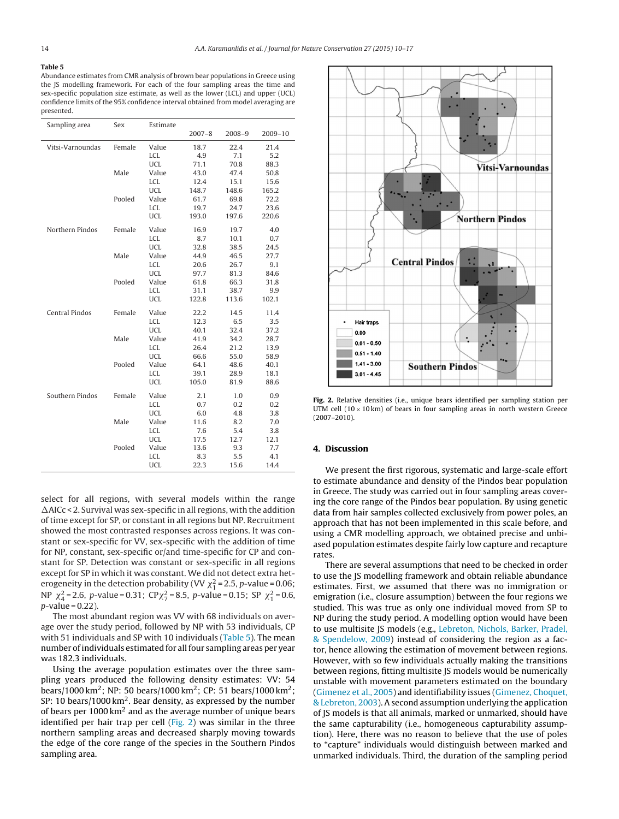# <span id="page-4-0"></span>**Table 5**

Abundance estimates from CMR analysis of brown bear populations in Greece using the JS modelling framework. For each of the four sampling areas the time and sex-specific population size estimate, as well as the lower (LCL) and upper (UCL) confidence limits of the 95% confidence interval obtained from model averaging are presented.

| Sampling area         | Sex    | Estimate   |            |            |             |
|-----------------------|--------|------------|------------|------------|-------------|
|                       |        |            | $2007 - 8$ | $2008 - 9$ | $2009 - 10$ |
| Vitsi-Varnoundas      | Female | Value      | 18.7       | 22.4       | 21.4        |
|                       |        | <b>LCL</b> | 4.9        | 7.1        | 5.2         |
|                       |        | <b>UCL</b> | 71.1       | 70.8       | 88.3        |
|                       | Male   | Value      | 43.0       | 47.4       | 50.8        |
|                       |        | <b>LCL</b> | 12.4       | 15.1       | 15.6        |
|                       |        | <b>UCL</b> | 148.7      | 148.6      | 165.2       |
|                       | Pooled | Value      | 61.7       | 69.8       | 72.2        |
|                       |        | <b>LCL</b> | 19.7       | 24.7       | 23.6        |
|                       |        | <b>UCL</b> | 193.0      | 197.6      | 220.6       |
| Northern Pindos       | Female | Value      | 16.9       | 19.7       | 4.0         |
|                       |        | <b>LCL</b> | 8.7        | 10.1       | 0.7         |
|                       |        | <b>UCL</b> | 32.8       | 38.5       | 24.5        |
|                       | Male   | Value      | 44.9       | 46.5       | 27.7        |
|                       |        | <b>LCL</b> | 20.6       | 26.7       | 9.1         |
|                       |        | <b>UCL</b> | 97.7       | 81.3       | 84.6        |
|                       | Pooled | Value      | 61.8       | 66.3       | 31.8        |
|                       |        | <b>LCL</b> | 31.1       | 38.7       | 9.9         |
|                       |        | <b>UCL</b> | 122.8      | 113.6      | 102.1       |
| <b>Central Pindos</b> | Female | Value      | 22.2       | 14.5       | 11.4        |
|                       |        | <b>LCL</b> | 12.3       | 6.5        | 3.5         |
|                       |        | <b>UCL</b> | 40.1       | 32.4       | 37.2        |
|                       | Male   | Value      | 41.9       | 34.2       | 28.7        |
|                       |        | <b>LCL</b> | 26.4       | 21.2       | 13.9        |
|                       |        | <b>UCL</b> | 66.6       | 55.0       | 58.9        |
|                       | Pooled | Value      | 64.1       | 48.6       | 40.1        |
|                       |        | <b>LCL</b> | 39.1       | 28.9       | 18.1        |
|                       |        | <b>UCL</b> | 105.0      | 81.9       | 88.6        |
| Southern Pindos       | Female | Value      | 2.1        | 1.0        | 0.9         |
|                       |        | <b>LCL</b> | 0.7        | 0.2        | 0.2         |
|                       |        | <b>UCL</b> | 6.0        | 4.8        | 3.8         |
|                       | Male   | Value      | 11.6       | 8.2        | 7.0         |
|                       |        | <b>LCL</b> | 7.6        | 5.4        | 3.8         |
|                       |        | <b>UCL</b> | 17.5       | 12.7       | 12.1        |
|                       | Pooled | Value      | 13.6       | 9.3        | 7.7         |
|                       |        | <b>LCL</b> | 8.3        | 5.5        | 4.1         |
|                       |        | <b>UCL</b> | 22.3       | 15.6       | 14.4        |

select for all regions, with several models within the range  $\Delta$ AICc < 2. Survival was sex-specific in all regions, with the addition of time except for SP, or constant in all regions but NP. Recruitment showed the most contrasted responses across regions. It was constant or sex-specific for VV, sex-specific with the addition of time for NP, constant, sex-specific or/and time-specific for CP and constant for SP. Detection was constant or sex-specific in all regions except for SP in which it was constant. We did not detect extra heterogeneity in the detection probability (VV  $\chi_1^2$  = 2.5, p-value = 0.06; NP  $\chi^2_4$  = 2.6, p-value = 0.31; CP $\chi^2_7$  = 8.5, p-value = 0.15; SP  $\chi^2_1$  = 0.6,  $p$ -value = 0.22).

The most abundant region was VV with 68 individuals on average over the study period, followed by NP with 53 individuals, CP with 51 individuals and SP with 10 individuals (Table 5). The mean number of individuals estimated for all four sampling areas per year was 182.3 individuals.

Using the average population estimates over the three sampling years produced the following density estimates: VV: 54 bears/1000 km2; NP: 50 bears/1000 km2; CP: 51 bears/1000 km2; SP: 10 bears/1000 km<sup>2</sup>. Bear density, as expressed by the number of bears per  $1000 \mathrm{km^2}$  and as the average number of unique bears identified per hair trap per cell  $(Fig, 2)$  was similar in the three northern sampling areas and decreased sharply moving towards the edge of the core range of the species in the Southern Pindos sampling area.



**Fig. 2.** Relative densities (i.e., unique bears identified per sampling station per UTM cell  $(10 \times 10 \text{ km})$  of bears in four sampling areas in north western Greece (2007–2010).

## **4. Discussion**

We present the first rigorous, systematic and large-scale effort to estimate abundance and density of the Pindos bear population in Greece. The study was carried out in four sampling areas covering the core range of the Pindos bear population. By using genetic data from hair samples collected exclusively from power poles, an approach that has not been implemented in this scale before, and using a CMR modelling approach, we obtained precise and unbiased population estimates despite fairly low capture and recapture rates.

There are several assumptions that need to be checked in order to use the JS modelling framework and obtain reliable abundance estimates. First, we assumed that there was no immigration or emigration (i.e., closure assumption) between the four regions we studied. This was true as only one individual moved from SP to NP during the study period. A modelling option would have been to use multisite JS models (e.g., [Lebreton,](#page-7-0) [Nichols,](#page-7-0) [Barker,](#page-7-0) [Pradel,](#page-7-0) [&](#page-7-0) [Spendelow,](#page-7-0) [2009\)](#page-7-0) instead of considering the region as a factor, hence allowing the estimation of movement between regions. However, with so few individuals actually making the transitions between regions, fitting multisite JS models would be numerically unstable with movement parameters estimated on the boundary [\(Gimenez](#page-6-0) et [al.,](#page-6-0) [2005\)](#page-6-0) and identifiability issues ([Gimenez,](#page-6-0) [Choquet,](#page-6-0) [&](#page-6-0) [Lebreton,](#page-6-0) [2003\).](#page-6-0) A second assumption underlying the application of JS models is that all animals, marked or unmarked, should have the same capturability (i.e., homogeneous capturability assumption). Here, there was no reason to believe that the use of poles to "capture" individuals would distinguish between marked and unmarked individuals. Third, the duration of the sampling period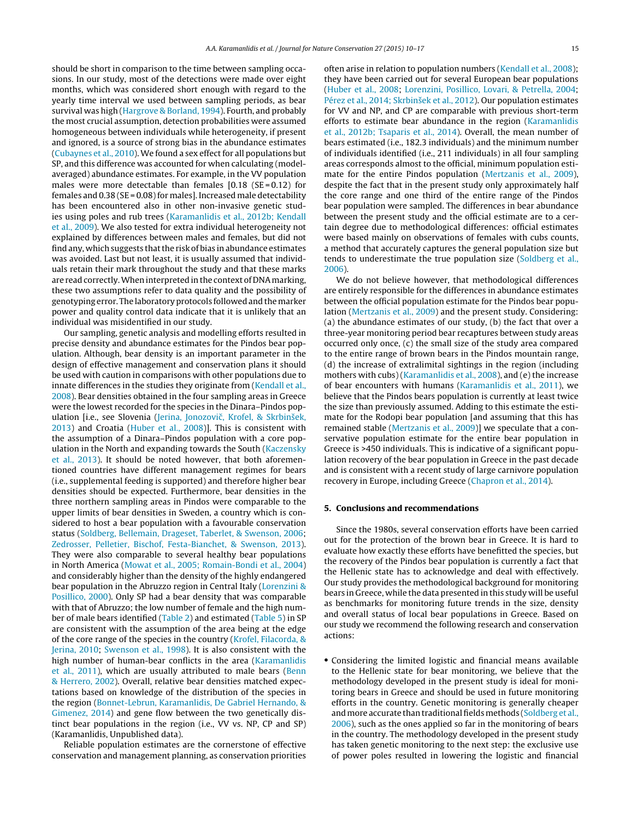should be short in comparison to the time between sampling occasions. In our study, most of the detections were made over eight months, which was considered short enough with regard to the yearly time interval we used between sampling periods, as bear survival was high ([Hargrove](#page-6-0) [&](#page-6-0) [Borland,](#page-6-0) [1994\).](#page-6-0) Fourth, and probably the most crucial assumption, detection probabilities were assumed homogeneous between individuals while heterogeneity, if present and ignored, is a source of strong bias in the abundance estimates ([Cubaynes](#page-6-0) et [al.,](#page-6-0) [2010\).](#page-6-0) We found a sex effect for all populations but SP, and this difference was accounted for when calculating (modelaveraged) abundance estimates. For example, in the VV population males were more detectable than females  $[0.18$  (SE = 0.12) for females and  $0.38$  (SE = 0.08) for males]. Increased male detectability has been encountered also in other non-invasive genetic studies using poles and rub trees [\(Karamanlidis](#page-6-0) et [al.,](#page-6-0) [2012b;](#page-6-0) [Kendall](#page-6-0) et [al.,](#page-6-0) [2009\).](#page-6-0) We also tested for extra individual heterogeneity not explained by differences between males and females, but did not find any, which suggests that the risk of bias in abundance estimates was avoided. Last but not least, it is usually assumed that individuals retain their mark throughout the study and that these marks are read correctly.Wheninterpreted inthe context of DNAmarking, these two assumptions refer to data quality and the possibility of genotyping error. The laboratory protocols followed and the marker power and quality control data indicate that it is unlikely that an individual was misidentified in our study.

Our sampling, genetic analysis and modelling efforts resulted in precise density and abundance estimates for the Pindos bear population. Although, bear density is an important parameter in the design of effective management and conservation plans it should be used with caution in comparisons with other populations due to innate differences in the studies they originate from ([Kendall](#page-6-0) et [al.,](#page-6-0) [2008\).](#page-6-0) Bear densities obtained in the four sampling areas in Greece were the lowest recorded for the species in the Dinara–Pindos pop-ulation [i.e., see Slovenia [\(Jerina,](#page-6-0) Jonozovič, [Krofel,](#page-6-0) [&](#page-6-0) Skrbinšek, [2013\)](#page-6-0) and Croatia ([Huber](#page-6-0) et [al.,](#page-6-0) [2008\)\]](#page-6-0). This is consistent with the assumption of a Dinara–Pindos population with a core population in the North and expanding towards the South [\(Kaczensky](#page-6-0) et [al.,](#page-6-0) [2013\).](#page-6-0) It should be noted however, that both aforementioned countries have different management regimes for bears (i.e., supplemental feeding is supported) and therefore higher bear densities should be expected. Furthermore, bear densities in the three northern sampling areas in Pindos were comparable to the upper limits of bear densities in Sweden, a country which is considered to host a bear population with a favourable conservation status [\(Soldberg,](#page-7-0) [Bellemain,](#page-7-0) [Drageset,](#page-7-0) [Taberlet,](#page-7-0) [&](#page-7-0) [Swenson,](#page-7-0) [2006;](#page-7-0) [Zedrosser,](#page-7-0) [Pelletier,](#page-7-0) [Bischof,](#page-7-0) [Festa-Bianchet,](#page-7-0) [&](#page-7-0) [Swenson,](#page-7-0) [2013\).](#page-7-0) They were also comparable to several healthy bear populations in North America ([Mowat](#page-7-0) et [al.,](#page-7-0) [2005;](#page-7-0) [Romain-Bondi](#page-7-0) et [al.,](#page-7-0) [2004\)](#page-7-0) and considerably higher than the density of the highly endangered bear population in the Abruzzo region in Central Italy ([Lorenzini](#page-7-0) [&](#page-7-0) [Posillico,](#page-7-0) [2000\).](#page-7-0) Only SP had a bear density that was comparable with that of Abruzzo; the low number of female and the high number of male bears identified ([Table](#page-2-0) 2) and estimated [\(Table](#page-4-0) 5) in SP are consistent with the assumption of the area being at the edge of the core range of the species in the country [\(Krofel,](#page-6-0) [Filacorda,](#page-6-0) [&](#page-6-0) [Jerina,](#page-6-0) [2010;](#page-6-0) [Swenson](#page-7-0) et [al.,](#page-7-0) [1998\).](#page-7-0) It is also consistent with the high number of human-bear conflicts in the area ([Karamanlidis](#page-6-0) et [al.,](#page-6-0) [2011\),](#page-6-0) which are usually attributed to male bears ([Benn](#page-6-0) [&](#page-6-0) [Herrero,](#page-6-0) [2002\).](#page-6-0) Overall, relative bear densities matched expectations based on knowledge of the distribution of the species in the region [\(Bonnet-Lebrun,](#page-6-0) [Karamanlidis,](#page-6-0) [De](#page-6-0) [Gabriel](#page-6-0) [Hernando,](#page-6-0) [&](#page-6-0) [Gimenez,](#page-6-0) [2014\)](#page-6-0) and gene flow between the two genetically distinct bear populations in the region (i.e., VV vs. NP, CP and SP) (Karamanlidis, Unpublished data).

Reliable population estimates are the cornerstone of effective conservation and management planning, as conservation priorities often arise in relation to population numbers [\(Kendall](#page-6-0) et [al.,](#page-6-0) [2008\);](#page-6-0) they have been carried out for several European bear populations [\(Huber](#page-6-0) et [al.,](#page-6-0) [2008;](#page-6-0) [Lorenzini,](#page-7-0) [Posillico,](#page-7-0) [Lovari,](#page-7-0) [&](#page-7-0) [Petrella,](#page-7-0) [2004;](#page-7-0) [Pérez](#page-7-0) et [al.,](#page-7-0) [2014;](#page-7-0) Skrbinšek et al., [2012\).](#page-7-0) Our population estimates for VV and NP, and CP are comparable with previous short-term efforts to estimate bear abundance in the region [\(Karamanlidis](#page-6-0) et [al.,](#page-6-0) [2012b;](#page-6-0) [Tsaparis](#page-6-0) et [al.,](#page-6-0) [2014\).](#page-6-0) Overall, the mean number of bears estimated (i.e., 182.3 individuals) and the minimum number of individuals identified (i.e., 211 individuals) in all four sampling areas corresponds almost to the official, minimum population estimate for the entire Pindos population ([Mertzanis](#page-7-0) et [al.,](#page-7-0) [2009\),](#page-7-0) despite the fact that in the present study only approximately half the core range and one third of the entire range of the Pindos bear population were sampled. The differences in bear abundance between the present study and the official estimate are to a certain degree due to methodological differences: official estimates were based mainly on observations of females with cubs counts, a method that accurately captures the general population size but tends to underestimate the true population size [\(Soldberg](#page-7-0) et [al.,](#page-7-0) [2006\).](#page-7-0)

We do not believe however, that methodological differences are entirely responsible for the differences in abundance estimates between the official population estimate for the Pindos bear population ([Mertzanis](#page-7-0) et [al.,](#page-7-0) [2009\)](#page-7-0) and the present study. Considering: (a) the abundance estimates of our study, (b) the fact that over a three-year monitoring period bear recaptures between study areas occurred only once, (c) the small size of the study area compared to the entire range of brown bears in the Pindos mountain range, (d) the increase of extralimital sightings in the region (including mothers with cubs) ([Karamanlidis](#page-6-0) et [al.,](#page-6-0) [2008\),](#page-6-0) and (e) the increase of bear encounters with humans ([Karamanlidis](#page-6-0) et [al.,](#page-6-0) [2011\),](#page-6-0) we believe that the Pindos bears population is currently at least twice the size than previously assumed. Adding to this estimate the estimate for the Rodopi bear population [and assuming that this has remained stable [\(Mertzanis](#page-7-0) et [al.,](#page-7-0) [2009\)\]](#page-7-0) we speculate that a conservative population estimate for the entire bear population in Greece is >450 individuals. This is indicative of a significant population recovery of the bear population in Greece in the past decade and is consistent with a recent study of large carnivore population recovery in Europe, including Greece ([Chapron](#page-6-0) et [al.,](#page-6-0) [2014\).](#page-6-0)

#### **5. Conclusions and recommendations**

Since the 1980s, several conservation efforts have been carried out for the protection of the brown bear in Greece. It is hard to evaluate how exactly these efforts have benefitted the species, but the recovery of the Pindos bear population is currently a fact that the Hellenic state has to acknowledge and deal with effectively. Our study provides the methodological background for monitoring bears in Greece, while the data presented in this study will be useful as benchmarks for monitoring future trends in the size, density and overall status of local bear populations in Greece. Based on our study we recommend the following research and conservation actions:

• Considering the limited logistic and financial means available to the Hellenic state for bear monitoring, we believe that the methodology developed in the present study is ideal for monitoring bears in Greece and should be used in future monitoring efforts in the country. Genetic monitoring is generally cheaper and more accurate than traditional fields methods ([Soldberg](#page-7-0) et [al.,](#page-7-0) [2006\),](#page-7-0) such as the ones applied so far in the monitoring of bears in the country. The methodology developed in the present study has taken genetic monitoring to the next step: the exclusive use of power poles resulted in lowering the logistic and financial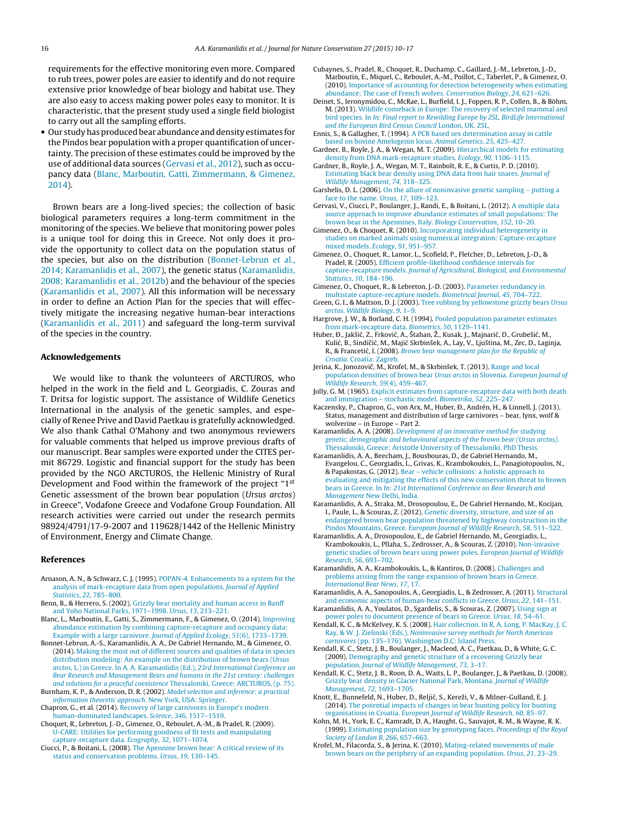<span id="page-6-0"></span>requirements for the effective monitoring even more. Compared to rub trees, power poles are easier to identify and do not require extensive prior knowledge of bear biology and habitat use. They are also easy to access making power poles easy to monitor. It is characteristic, that the present study used a single field biologist to carry out all the sampling efforts.

• Our study has produced bear abundance and density estimates for the Pindos bear population with a proper quantification of uncertainty. The precision of these estimates could be improved by the use of additional data sources (Gervasi et al., 2012), such as occupancy data (Blanc, Marboutin, Gatti, Zimmermann, & Gimenez, 2014).

Brown bears are a long-lived species; the collection of basic biological parameters requires a long-term commitment in the monitoring of the species. We believe that monitoring power poles is a unique tool for doing this in Greece. Not only does it provide the opportunity to collect data on the population status of the species, but also on the distribution (Bonnet-Lebrun et al., 2014; Karamanlidis et al., 2007), the genetic status (Karamanlidis, 2008; Karamanlidis et al., 2012b) and the behaviour of the species (Karamanlidis et al., 2007). All this information will be necessary in order to define an Action Plan for the species that will effectively mitigate the increasing negative human-bear interactions (Karamanlidis et al., 2011) and safeguard the long-term survival of the species in the country.

#### **Acknowledgements**

We would like to thank the volunteers of ARCTUROS, who helped in the work in the field and L. Georgiadis, C. Zouras and T. Dritsa for logistic support. The assistance of Wildlife Genetics International in the analysis of the genetic samples, and especially of Renee Prive and David Paetkau is gratefully acknowledged. We also thank Cathal O'Mahony and two anonymous reviewers for valuable comments that helped us improve previous drafts of our manuscript. Bear samples were exported under the CITES permit 86729. Logistic and financial support for the study has been provided by the NGO ARCTUROS, the Hellenic Ministry of Rural Development and Food within the framework of the project "1<sup>st</sup> Genetic assessment of the brown bear population (Ursus arctos) in Greece", Vodafone Greece and Vodafone Group Foundation. All research activities were carried out under the research permits 98924/4791/17-9-2007 and 119628/1442 of the Hellenic Ministry of Environment, Energy and Climate Change.

#### **References**

- Arnason, A. N., & Schwarz, C. J. (1995). [POPAN-4.](http://refhub.elsevier.com/S1617-1381(15)30003-0/sbref0005) [Enhancements](http://refhub.elsevier.com/S1617-1381(15)30003-0/sbref0005) [to](http://refhub.elsevier.com/S1617-1381(15)30003-0/sbref0005) [a](http://refhub.elsevier.com/S1617-1381(15)30003-0/sbref0005) [system](http://refhub.elsevier.com/S1617-1381(15)30003-0/sbref0005) [for](http://refhub.elsevier.com/S1617-1381(15)30003-0/sbref0005) [the](http://refhub.elsevier.com/S1617-1381(15)30003-0/sbref0005) [analysis](http://refhub.elsevier.com/S1617-1381(15)30003-0/sbref0005) [of](http://refhub.elsevier.com/S1617-1381(15)30003-0/sbref0005) [mark-recapture](http://refhub.elsevier.com/S1617-1381(15)30003-0/sbref0005) [data](http://refhub.elsevier.com/S1617-1381(15)30003-0/sbref0005) [from](http://refhub.elsevier.com/S1617-1381(15)30003-0/sbref0005) [open](http://refhub.elsevier.com/S1617-1381(15)30003-0/sbref0005) [populations.](http://refhub.elsevier.com/S1617-1381(15)30003-0/sbref0005) [Journal](http://refhub.elsevier.com/S1617-1381(15)30003-0/sbref0005) [of](http://refhub.elsevier.com/S1617-1381(15)30003-0/sbref0005) [Applied](http://refhub.elsevier.com/S1617-1381(15)30003-0/sbref0005) [Statistics](http://refhub.elsevier.com/S1617-1381(15)30003-0/sbref0005)[,](http://refhub.elsevier.com/S1617-1381(15)30003-0/sbref0005) [22](http://refhub.elsevier.com/S1617-1381(15)30003-0/sbref0005)[,](http://refhub.elsevier.com/S1617-1381(15)30003-0/sbref0005) [785–800.](http://refhub.elsevier.com/S1617-1381(15)30003-0/sbref0005)
- Benn, B., & Herrero, S. (2002). [Grizzly](http://refhub.elsevier.com/S1617-1381(15)30003-0/sbref0010) [bear](http://refhub.elsevier.com/S1617-1381(15)30003-0/sbref0010) [mortality](http://refhub.elsevier.com/S1617-1381(15)30003-0/sbref0010) [and](http://refhub.elsevier.com/S1617-1381(15)30003-0/sbref0010) [human](http://refhub.elsevier.com/S1617-1381(15)30003-0/sbref0010) [access](http://refhub.elsevier.com/S1617-1381(15)30003-0/sbref0010) [in](http://refhub.elsevier.com/S1617-1381(15)30003-0/sbref0010) [Banff](http://refhub.elsevier.com/S1617-1381(15)30003-0/sbref0010) [and](http://refhub.elsevier.com/S1617-1381(15)30003-0/sbref0010) [Yoho](http://refhub.elsevier.com/S1617-1381(15)30003-0/sbref0010) [National](http://refhub.elsevier.com/S1617-1381(15)30003-0/sbref0010) [Parks,](http://refhub.elsevier.com/S1617-1381(15)30003-0/sbref0010) [1971–1998.](http://refhub.elsevier.com/S1617-1381(15)30003-0/sbref0010) [Ursus](http://refhub.elsevier.com/S1617-1381(15)30003-0/sbref0010)[,](http://refhub.elsevier.com/S1617-1381(15)30003-0/sbref0010) [13](http://refhub.elsevier.com/S1617-1381(15)30003-0/sbref0010)[,](http://refhub.elsevier.com/S1617-1381(15)30003-0/sbref0010) [213–221.](http://refhub.elsevier.com/S1617-1381(15)30003-0/sbref0010)
- Blanc, L., Marboutin, E., Gatti, S., Zimmermann, F., & Gimenez, O. (2014). [Improving](http://refhub.elsevier.com/S1617-1381(15)30003-0/sbref0015) [abundance](http://refhub.elsevier.com/S1617-1381(15)30003-0/sbref0015) [estimation](http://refhub.elsevier.com/S1617-1381(15)30003-0/sbref0015) [by](http://refhub.elsevier.com/S1617-1381(15)30003-0/sbref0015) [combining](http://refhub.elsevier.com/S1617-1381(15)30003-0/sbref0015) [capture-recapture](http://refhub.elsevier.com/S1617-1381(15)30003-0/sbref0015) [and](http://refhub.elsevier.com/S1617-1381(15)30003-0/sbref0015) [occupancy](http://refhub.elsevier.com/S1617-1381(15)30003-0/sbref0015) [data:](http://refhub.elsevier.com/S1617-1381(15)30003-0/sbref0015) [Example](http://refhub.elsevier.com/S1617-1381(15)30003-0/sbref0015) [with](http://refhub.elsevier.com/S1617-1381(15)30003-0/sbref0015) [a](http://refhub.elsevier.com/S1617-1381(15)30003-0/sbref0015) [large](http://refhub.elsevier.com/S1617-1381(15)30003-0/sbref0015) [carnivore.](http://refhub.elsevier.com/S1617-1381(15)30003-0/sbref0015) [Journal](http://refhub.elsevier.com/S1617-1381(15)30003-0/sbref0015) [of](http://refhub.elsevier.com/S1617-1381(15)30003-0/sbref0015) [Applied](http://refhub.elsevier.com/S1617-1381(15)30003-0/sbref0015) [Ecology](http://refhub.elsevier.com/S1617-1381(15)30003-0/sbref0015)[,](http://refhub.elsevier.com/S1617-1381(15)30003-0/sbref0015) [51](http://refhub.elsevier.com/S1617-1381(15)30003-0/sbref0015)[\(6\),](http://refhub.elsevier.com/S1617-1381(15)30003-0/sbref0015) [1733–1739.](http://refhub.elsevier.com/S1617-1381(15)30003-0/sbref0015)
- Bonnet-Lebrun, A.-S., Karamanlidis, A. A., De Gabriel Hernando, M., & Gimenez, O. (2014). [Making](http://refhub.elsevier.com/S1617-1381(15)30003-0/sbref0020) [the](http://refhub.elsevier.com/S1617-1381(15)30003-0/sbref0020) [most](http://refhub.elsevier.com/S1617-1381(15)30003-0/sbref0020) [out](http://refhub.elsevier.com/S1617-1381(15)30003-0/sbref0020) [of](http://refhub.elsevier.com/S1617-1381(15)30003-0/sbref0020) [different](http://refhub.elsevier.com/S1617-1381(15)30003-0/sbref0020) [sources](http://refhub.elsevier.com/S1617-1381(15)30003-0/sbref0020) [and](http://refhub.elsevier.com/S1617-1381(15)30003-0/sbref0020) [qualities](http://refhub.elsevier.com/S1617-1381(15)30003-0/sbref0020) [of](http://refhub.elsevier.com/S1617-1381(15)30003-0/sbref0020) [data](http://refhub.elsevier.com/S1617-1381(15)30003-0/sbref0020) [in](http://refhub.elsevier.com/S1617-1381(15)30003-0/sbref0020) [species](http://refhub.elsevier.com/S1617-1381(15)30003-0/sbref0020) [distribution](http://refhub.elsevier.com/S1617-1381(15)30003-0/sbref0020) [modeling:](http://refhub.elsevier.com/S1617-1381(15)30003-0/sbref0020) [An](http://refhub.elsevier.com/S1617-1381(15)30003-0/sbref0020) [example](http://refhub.elsevier.com/S1617-1381(15)30003-0/sbref0020) [on](http://refhub.elsevier.com/S1617-1381(15)30003-0/sbref0020) [the](http://refhub.elsevier.com/S1617-1381(15)30003-0/sbref0020) [distribution](http://refhub.elsevier.com/S1617-1381(15)30003-0/sbref0020) [of](http://refhub.elsevier.com/S1617-1381(15)30003-0/sbref0020) [brown](http://refhub.elsevier.com/S1617-1381(15)30003-0/sbref0020) [bears](http://refhub.elsevier.com/S1617-1381(15)30003-0/sbref0020) [\(](http://refhub.elsevier.com/S1617-1381(15)30003-0/sbref0020)[Ursus](http://refhub.elsevier.com/S1617-1381(15)30003-0/sbref0020) [arctos](http://refhub.elsevier.com/S1617-1381(15)30003-0/sbref0020)[,](http://refhub.elsevier.com/S1617-1381(15)30003-0/sbref0020) [L.\)](http://refhub.elsevier.com/S1617-1381(15)30003-0/sbref0020) [in](http://refhub.elsevier.com/S1617-1381(15)30003-0/sbref0020) [Greece.](http://refhub.elsevier.com/S1617-1381(15)30003-0/sbref0020) [In](http://refhub.elsevier.com/S1617-1381(15)30003-0/sbref0020) [A.](http://refhub.elsevier.com/S1617-1381(15)30003-0/sbref0020) [A.](http://refhub.elsevier.com/S1617-1381(15)30003-0/sbref0020) [Karamanlidis](http://refhub.elsevier.com/S1617-1381(15)30003-0/sbref0020) [\(Ed.\),](http://refhub.elsevier.com/S1617-1381(15)30003-0/sbref0020) [23rd](http://refhub.elsevier.com/S1617-1381(15)30003-0/sbref0020) [International](http://refhub.elsevier.com/S1617-1381(15)30003-0/sbref0020) [Conference](http://refhub.elsevier.com/S1617-1381(15)30003-0/sbref0020) [on](http://refhub.elsevier.com/S1617-1381(15)30003-0/sbref0020) [Bear](http://refhub.elsevier.com/S1617-1381(15)30003-0/sbref0020) [Research](http://refhub.elsevier.com/S1617-1381(15)30003-0/sbref0020) [and](http://refhub.elsevier.com/S1617-1381(15)30003-0/sbref0020) [Management](http://refhub.elsevier.com/S1617-1381(15)30003-0/sbref0020) [Bears](http://refhub.elsevier.com/S1617-1381(15)30003-0/sbref0020) [and](http://refhub.elsevier.com/S1617-1381(15)30003-0/sbref0020) [humans](http://refhub.elsevier.com/S1617-1381(15)30003-0/sbref0020) [in](http://refhub.elsevier.com/S1617-1381(15)30003-0/sbref0020) [the](http://refhub.elsevier.com/S1617-1381(15)30003-0/sbref0020) [21st](http://refhub.elsevier.com/S1617-1381(15)30003-0/sbref0020) [century:](http://refhub.elsevier.com/S1617-1381(15)30003-0/sbref0020) [challenges](http://refhub.elsevier.com/S1617-1381(15)30003-0/sbref0020) [and](http://refhub.elsevier.com/S1617-1381(15)30003-0/sbref0020) [solutions](http://refhub.elsevier.com/S1617-1381(15)30003-0/sbref0020) [for](http://refhub.elsevier.com/S1617-1381(15)30003-0/sbref0020) [a](http://refhub.elsevier.com/S1617-1381(15)30003-0/sbref0020) [peaceful](http://refhub.elsevier.com/S1617-1381(15)30003-0/sbref0020) [coexistence](http://refhub.elsevier.com/S1617-1381(15)30003-0/sbref0020) [Thessaloniki,](http://refhub.elsevier.com/S1617-1381(15)30003-0/sbref0020) [Greece:](http://refhub.elsevier.com/S1617-1381(15)30003-0/sbref0020) [ARCTUROS,](http://refhub.elsevier.com/S1617-1381(15)30003-0/sbref0020) [\(p.](http://refhub.elsevier.com/S1617-1381(15)30003-0/sbref0020) [75\).](http://refhub.elsevier.com/S1617-1381(15)30003-0/sbref0020)
- Burnham, K. P., & Anderson, D. R. (2002). [Model](http://refhub.elsevier.com/S1617-1381(15)30003-0/sbref0025) [selection](http://refhub.elsevier.com/S1617-1381(15)30003-0/sbref0025) [and](http://refhub.elsevier.com/S1617-1381(15)30003-0/sbref0025) [inference:](http://refhub.elsevier.com/S1617-1381(15)30003-0/sbref0025) [a](http://refhub.elsevier.com/S1617-1381(15)30003-0/sbref0025) [practical](http://refhub.elsevier.com/S1617-1381(15)30003-0/sbref0025) [information](http://refhub.elsevier.com/S1617-1381(15)30003-0/sbref0025) [theoretic](http://refhub.elsevier.com/S1617-1381(15)30003-0/sbref0025) [approach](http://refhub.elsevier.com/S1617-1381(15)30003-0/sbref0025)[.](http://refhub.elsevier.com/S1617-1381(15)30003-0/sbref0025) [New](http://refhub.elsevier.com/S1617-1381(15)30003-0/sbref0025) [York,](http://refhub.elsevier.com/S1617-1381(15)30003-0/sbref0025) [USA:](http://refhub.elsevier.com/S1617-1381(15)30003-0/sbref0025) [Springer.](http://refhub.elsevier.com/S1617-1381(15)30003-0/sbref0025) Chapron, G., et al. (2014). [Recovery](http://refhub.elsevier.com/S1617-1381(15)30003-0/sbref0030) [of](http://refhub.elsevier.com/S1617-1381(15)30003-0/sbref0030) [large](http://refhub.elsevier.com/S1617-1381(15)30003-0/sbref0030) [carnivores](http://refhub.elsevier.com/S1617-1381(15)30003-0/sbref0030) [in](http://refhub.elsevier.com/S1617-1381(15)30003-0/sbref0030) [Europe's](http://refhub.elsevier.com/S1617-1381(15)30003-0/sbref0030) [modern](http://refhub.elsevier.com/S1617-1381(15)30003-0/sbref0030)
- [human-dominated](http://refhub.elsevier.com/S1617-1381(15)30003-0/sbref0030) [landscapes.](http://refhub.elsevier.com/S1617-1381(15)30003-0/sbref0030) [Science](http://refhub.elsevier.com/S1617-1381(15)30003-0/sbref0030)[,](http://refhub.elsevier.com/S1617-1381(15)30003-0/sbref0030) [346](http://refhub.elsevier.com/S1617-1381(15)30003-0/sbref0030)[,](http://refhub.elsevier.com/S1617-1381(15)30003-0/sbref0030) [1517](http://refhub.elsevier.com/S1617-1381(15)30003-0/sbref0030)–[1519.](http://refhub.elsevier.com/S1617-1381(15)30003-0/sbref0030) Choquet, R., Lebreton, J.-D., Gimenez, O., Reboulet, A.-M., & Pradel, R. (2009).
- [U-CARE:](http://refhub.elsevier.com/S1617-1381(15)30003-0/sbref0035) [Utilities](http://refhub.elsevier.com/S1617-1381(15)30003-0/sbref0035) [for](http://refhub.elsevier.com/S1617-1381(15)30003-0/sbref0035) [performing](http://refhub.elsevier.com/S1617-1381(15)30003-0/sbref0035) [goodness](http://refhub.elsevier.com/S1617-1381(15)30003-0/sbref0035) [of](http://refhub.elsevier.com/S1617-1381(15)30003-0/sbref0035) [fit](http://refhub.elsevier.com/S1617-1381(15)30003-0/sbref0035) [tests](http://refhub.elsevier.com/S1617-1381(15)30003-0/sbref0035) [and](http://refhub.elsevier.com/S1617-1381(15)30003-0/sbref0035) [manipulating](http://refhub.elsevier.com/S1617-1381(15)30003-0/sbref0035) [capture-recapture](http://refhub.elsevier.com/S1617-1381(15)30003-0/sbref0035) [data.](http://refhub.elsevier.com/S1617-1381(15)30003-0/sbref0035) [Ecography](http://refhub.elsevier.com/S1617-1381(15)30003-0/sbref0035)[,](http://refhub.elsevier.com/S1617-1381(15)30003-0/sbref0035) [32](http://refhub.elsevier.com/S1617-1381(15)30003-0/sbref0035)[,](http://refhub.elsevier.com/S1617-1381(15)30003-0/sbref0035) [1071](http://refhub.elsevier.com/S1617-1381(15)30003-0/sbref0035)–[1074.](http://refhub.elsevier.com/S1617-1381(15)30003-0/sbref0035)
- Ciucci, P., & Boitani, L. (2008). [The](http://refhub.elsevier.com/S1617-1381(15)30003-0/sbref0040) [Apennine](http://refhub.elsevier.com/S1617-1381(15)30003-0/sbref0040) [brown](http://refhub.elsevier.com/S1617-1381(15)30003-0/sbref0040) [bear:](http://refhub.elsevier.com/S1617-1381(15)30003-0/sbref0040) [A](http://refhub.elsevier.com/S1617-1381(15)30003-0/sbref0040) [critical](http://refhub.elsevier.com/S1617-1381(15)30003-0/sbref0040) [review](http://refhub.elsevier.com/S1617-1381(15)30003-0/sbref0040) [of](http://refhub.elsevier.com/S1617-1381(15)30003-0/sbref0040) [its](http://refhub.elsevier.com/S1617-1381(15)30003-0/sbref0040) [status](http://refhub.elsevier.com/S1617-1381(15)30003-0/sbref0040) [and](http://refhub.elsevier.com/S1617-1381(15)30003-0/sbref0040) [conservation](http://refhub.elsevier.com/S1617-1381(15)30003-0/sbref0040) [problems.](http://refhub.elsevier.com/S1617-1381(15)30003-0/sbref0040) [Ursus](http://refhub.elsevier.com/S1617-1381(15)30003-0/sbref0040)[,](http://refhub.elsevier.com/S1617-1381(15)30003-0/sbref0040) [19](http://refhub.elsevier.com/S1617-1381(15)30003-0/sbref0040)[,](http://refhub.elsevier.com/S1617-1381(15)30003-0/sbref0040) [130](http://refhub.elsevier.com/S1617-1381(15)30003-0/sbref0040)–[145.](http://refhub.elsevier.com/S1617-1381(15)30003-0/sbref0040)
- Cubaynes, S., Pradel, R., Choquet, R., Duchamp, C., Gaillard, J.-M., Lebreton, J.-D., Marboutin, E., Miquel, C., Reboulet, A.-M., Poillot, C., Taberlet, P., & Gimenez, O. (2010). [Importance](http://refhub.elsevier.com/S1617-1381(15)30003-0/sbref0045) [of](http://refhub.elsevier.com/S1617-1381(15)30003-0/sbref0045) [accounting](http://refhub.elsevier.com/S1617-1381(15)30003-0/sbref0045) [for](http://refhub.elsevier.com/S1617-1381(15)30003-0/sbref0045) [detection](http://refhub.elsevier.com/S1617-1381(15)30003-0/sbref0045) [heterogeneity](http://refhub.elsevier.com/S1617-1381(15)30003-0/sbref0045) [when](http://refhub.elsevier.com/S1617-1381(15)30003-0/sbref0045) [estimating](http://refhub.elsevier.com/S1617-1381(15)30003-0/sbref0045) [abundance:](http://refhub.elsevier.com/S1617-1381(15)30003-0/sbref0045) [The](http://refhub.elsevier.com/S1617-1381(15)30003-0/sbref0045) [case](http://refhub.elsevier.com/S1617-1381(15)30003-0/sbref0045) [of](http://refhub.elsevier.com/S1617-1381(15)30003-0/sbref0045) [French](http://refhub.elsevier.com/S1617-1381(15)30003-0/sbref0045) [wolves.](http://refhub.elsevier.com/S1617-1381(15)30003-0/sbref0045) [Conservation](http://refhub.elsevier.com/S1617-1381(15)30003-0/sbref0045) [Biology](http://refhub.elsevier.com/S1617-1381(15)30003-0/sbref0045)[,](http://refhub.elsevier.com/S1617-1381(15)30003-0/sbref0045) [24](http://refhub.elsevier.com/S1617-1381(15)30003-0/sbref0045)[,](http://refhub.elsevier.com/S1617-1381(15)30003-0/sbref0045) [621](http://refhub.elsevier.com/S1617-1381(15)30003-0/sbref0045)–[626.](http://refhub.elsevier.com/S1617-1381(15)30003-0/sbref0045)
- Deinet, S., Ieronymidou, C., McRae, L., Burfield, I. J., Foppen, R. P., Collen, B., & Böhm, M. (2013). [Wildlife](http://refhub.elsevier.com/S1617-1381(15)30003-0/sbref0050) [comeback](http://refhub.elsevier.com/S1617-1381(15)30003-0/sbref0050) [in](http://refhub.elsevier.com/S1617-1381(15)30003-0/sbref0050) [Europe:](http://refhub.elsevier.com/S1617-1381(15)30003-0/sbref0050) [The](http://refhub.elsevier.com/S1617-1381(15)30003-0/sbref0050) [recovery](http://refhub.elsevier.com/S1617-1381(15)30003-0/sbref0050) [of](http://refhub.elsevier.com/S1617-1381(15)30003-0/sbref0050) [selected](http://refhub.elsevier.com/S1617-1381(15)30003-0/sbref0050) [mammal](http://refhub.elsevier.com/S1617-1381(15)30003-0/sbref0050) [and](http://refhub.elsevier.com/S1617-1381(15)30003-0/sbref0050) [bird](http://refhub.elsevier.com/S1617-1381(15)30003-0/sbref0050) [species.](http://refhub.elsevier.com/S1617-1381(15)30003-0/sbref0050) [In](http://refhub.elsevier.com/S1617-1381(15)30003-0/sbref0050) [In:](http://refhub.elsevier.com/S1617-1381(15)30003-0/sbref0050) [Final](http://refhub.elsevier.com/S1617-1381(15)30003-0/sbref0050) [report](http://refhub.elsevier.com/S1617-1381(15)30003-0/sbref0050) [to](http://refhub.elsevier.com/S1617-1381(15)30003-0/sbref0050) [Rewilding](http://refhub.elsevier.com/S1617-1381(15)30003-0/sbref0050) [Europe](http://refhub.elsevier.com/S1617-1381(15)30003-0/sbref0050) [by](http://refhub.elsevier.com/S1617-1381(15)30003-0/sbref0050) [ZSL,](http://refhub.elsevier.com/S1617-1381(15)30003-0/sbref0050) [BirdLife](http://refhub.elsevier.com/S1617-1381(15)30003-0/sbref0050) [International](http://refhub.elsevier.com/S1617-1381(15)30003-0/sbref0050) [and](http://refhub.elsevier.com/S1617-1381(15)30003-0/sbref0050) [the](http://refhub.elsevier.com/S1617-1381(15)30003-0/sbref0050) [European](http://refhub.elsevier.com/S1617-1381(15)30003-0/sbref0050) [Bird](http://refhub.elsevier.com/S1617-1381(15)30003-0/sbref0050) [Census](http://refhub.elsevier.com/S1617-1381(15)30003-0/sbref0050) [Council](http://refhub.elsevier.com/S1617-1381(15)30003-0/sbref0050) [London,](http://refhub.elsevier.com/S1617-1381(15)30003-0/sbref0050) [UK.](http://refhub.elsevier.com/S1617-1381(15)30003-0/sbref0050) [ZSL,](http://refhub.elsevier.com/S1617-1381(15)30003-0/sbref0050)
- Ennis, S., & Gallagher, T. (1994). [A](http://refhub.elsevier.com/S1617-1381(15)30003-0/sbref0055) [PCR](http://refhub.elsevier.com/S1617-1381(15)30003-0/sbref0055) [based](http://refhub.elsevier.com/S1617-1381(15)30003-0/sbref0055) [sex](http://refhub.elsevier.com/S1617-1381(15)30003-0/sbref0055) [determination](http://refhub.elsevier.com/S1617-1381(15)30003-0/sbref0055) [assay](http://refhub.elsevier.com/S1617-1381(15)30003-0/sbref0055) [in](http://refhub.elsevier.com/S1617-1381(15)30003-0/sbref0055) [cattle](http://refhub.elsevier.com/S1617-1381(15)30003-0/sbref0055) [based](http://refhub.elsevier.com/S1617-1381(15)30003-0/sbref0055) [on](http://refhub.elsevier.com/S1617-1381(15)30003-0/sbref0055) [bovine](http://refhub.elsevier.com/S1617-1381(15)30003-0/sbref0055) [Amelogenin](http://refhub.elsevier.com/S1617-1381(15)30003-0/sbref0055) [locus.](http://refhub.elsevier.com/S1617-1381(15)30003-0/sbref0055) [Animal](http://refhub.elsevier.com/S1617-1381(15)30003-0/sbref0055) [Genetics](http://refhub.elsevier.com/S1617-1381(15)30003-0/sbref0055)[,](http://refhub.elsevier.com/S1617-1381(15)30003-0/sbref0055) [25](http://refhub.elsevier.com/S1617-1381(15)30003-0/sbref0055)[,](http://refhub.elsevier.com/S1617-1381(15)30003-0/sbref0055) [425–427.](http://refhub.elsevier.com/S1617-1381(15)30003-0/sbref0055)
- Gardner, B., Royle, J. A., & Wegan, M. T. (2009). [Hierarchical](http://refhub.elsevier.com/S1617-1381(15)30003-0/sbref0060) [models](http://refhub.elsevier.com/S1617-1381(15)30003-0/sbref0060) [for](http://refhub.elsevier.com/S1617-1381(15)30003-0/sbref0060) [estimating](http://refhub.elsevier.com/S1617-1381(15)30003-0/sbref0060) [density](http://refhub.elsevier.com/S1617-1381(15)30003-0/sbref0060) [from](http://refhub.elsevier.com/S1617-1381(15)30003-0/sbref0060) [DNA](http://refhub.elsevier.com/S1617-1381(15)30003-0/sbref0060) [mark-recapture](http://refhub.elsevier.com/S1617-1381(15)30003-0/sbref0060) [studies.](http://refhub.elsevier.com/S1617-1381(15)30003-0/sbref0060) [Ecology](http://refhub.elsevier.com/S1617-1381(15)30003-0/sbref0060)[,](http://refhub.elsevier.com/S1617-1381(15)30003-0/sbref0060) [90](http://refhub.elsevier.com/S1617-1381(15)30003-0/sbref0060)[,](http://refhub.elsevier.com/S1617-1381(15)30003-0/sbref0060) [1106–1115.](http://refhub.elsevier.com/S1617-1381(15)30003-0/sbref0060)
- Gardner, B., Royle, J. A., Wegan, M. T., Rainbolt, R. E., & Curtis, P. D. (2010). [Estimating](http://refhub.elsevier.com/S1617-1381(15)30003-0/sbref0065) [black](http://refhub.elsevier.com/S1617-1381(15)30003-0/sbref0065) [bear](http://refhub.elsevier.com/S1617-1381(15)30003-0/sbref0065) [density](http://refhub.elsevier.com/S1617-1381(15)30003-0/sbref0065) [using](http://refhub.elsevier.com/S1617-1381(15)30003-0/sbref0065) [DNA](http://refhub.elsevier.com/S1617-1381(15)30003-0/sbref0065) [data](http://refhub.elsevier.com/S1617-1381(15)30003-0/sbref0065) [from](http://refhub.elsevier.com/S1617-1381(15)30003-0/sbref0065) [hair](http://refhub.elsevier.com/S1617-1381(15)30003-0/sbref0065) [snares.](http://refhub.elsevier.com/S1617-1381(15)30003-0/sbref0065) [Journal](http://refhub.elsevier.com/S1617-1381(15)30003-0/sbref0065) [of](http://refhub.elsevier.com/S1617-1381(15)30003-0/sbref0065) [Wildlife](http://refhub.elsevier.com/S1617-1381(15)30003-0/sbref0065) [Management](http://refhub.elsevier.com/S1617-1381(15)30003-0/sbref0065), [74](http://refhub.elsevier.com/S1617-1381(15)30003-0/sbref0065)[,](http://refhub.elsevier.com/S1617-1381(15)30003-0/sbref0065) [318–325.](http://refhub.elsevier.com/S1617-1381(15)30003-0/sbref0065)
- Garshelis, D. L. (2006). [On](http://refhub.elsevier.com/S1617-1381(15)30003-0/sbref0070) [the](http://refhub.elsevier.com/S1617-1381(15)30003-0/sbref0070) [allure](http://refhub.elsevier.com/S1617-1381(15)30003-0/sbref0070) [of](http://refhub.elsevier.com/S1617-1381(15)30003-0/sbref0070) [noninvasive](http://refhub.elsevier.com/S1617-1381(15)30003-0/sbref0070) [genetic](http://refhub.elsevier.com/S1617-1381(15)30003-0/sbref0070) [sampling](http://refhub.elsevier.com/S1617-1381(15)30003-0/sbref0070) [–](http://refhub.elsevier.com/S1617-1381(15)30003-0/sbref0070) [putting](http://refhub.elsevier.com/S1617-1381(15)30003-0/sbref0070) [a](http://refhub.elsevier.com/S1617-1381(15)30003-0/sbref0070) [face](http://refhub.elsevier.com/S1617-1381(15)30003-0/sbref0070) [to](http://refhub.elsevier.com/S1617-1381(15)30003-0/sbref0070) [the](http://refhub.elsevier.com/S1617-1381(15)30003-0/sbref0070) [name.](http://refhub.elsevier.com/S1617-1381(15)30003-0/sbref0070) [Ursus](http://refhub.elsevier.com/S1617-1381(15)30003-0/sbref0070)[,](http://refhub.elsevier.com/S1617-1381(15)30003-0/sbref0070) [17](http://refhub.elsevier.com/S1617-1381(15)30003-0/sbref0070)[,](http://refhub.elsevier.com/S1617-1381(15)30003-0/sbref0070) [109–123.](http://refhub.elsevier.com/S1617-1381(15)30003-0/sbref0070)
- Gervasi, V., Ciucci, P., Boulanger, J., Randi, E., & Boitani, L. (2012). [A](http://refhub.elsevier.com/S1617-1381(15)30003-0/sbref0075) [multiple](http://refhub.elsevier.com/S1617-1381(15)30003-0/sbref0075) [data](http://refhub.elsevier.com/S1617-1381(15)30003-0/sbref0075) [source](http://refhub.elsevier.com/S1617-1381(15)30003-0/sbref0075) [approach](http://refhub.elsevier.com/S1617-1381(15)30003-0/sbref0075) [to](http://refhub.elsevier.com/S1617-1381(15)30003-0/sbref0075) [improve](http://refhub.elsevier.com/S1617-1381(15)30003-0/sbref0075) [abundance](http://refhub.elsevier.com/S1617-1381(15)30003-0/sbref0075) [estimates](http://refhub.elsevier.com/S1617-1381(15)30003-0/sbref0075) [of](http://refhub.elsevier.com/S1617-1381(15)30003-0/sbref0075) [small](http://refhub.elsevier.com/S1617-1381(15)30003-0/sbref0075) [populations:](http://refhub.elsevier.com/S1617-1381(15)30003-0/sbref0075) [The](http://refhub.elsevier.com/S1617-1381(15)30003-0/sbref0075) [brown](http://refhub.elsevier.com/S1617-1381(15)30003-0/sbref0075) [bear](http://refhub.elsevier.com/S1617-1381(15)30003-0/sbref0075) [in](http://refhub.elsevier.com/S1617-1381(15)30003-0/sbref0075) [the](http://refhub.elsevier.com/S1617-1381(15)30003-0/sbref0075) [Apennines,](http://refhub.elsevier.com/S1617-1381(15)30003-0/sbref0075) [Italy.](http://refhub.elsevier.com/S1617-1381(15)30003-0/sbref0075) [Biology](http://refhub.elsevier.com/S1617-1381(15)30003-0/sbref0075) [Conservation](http://refhub.elsevier.com/S1617-1381(15)30003-0/sbref0075), [152](http://refhub.elsevier.com/S1617-1381(15)30003-0/sbref0075)[,](http://refhub.elsevier.com/S1617-1381(15)30003-0/sbref0075) [10–20.](http://refhub.elsevier.com/S1617-1381(15)30003-0/sbref0075)
- Gimenez, O., & Choquet, R. (2010). [Incorporating](http://refhub.elsevier.com/S1617-1381(15)30003-0/sbref0080) [individual](http://refhub.elsevier.com/S1617-1381(15)30003-0/sbref0080) [heterogeneity](http://refhub.elsevier.com/S1617-1381(15)30003-0/sbref0080) [in](http://refhub.elsevier.com/S1617-1381(15)30003-0/sbref0080) [studies](http://refhub.elsevier.com/S1617-1381(15)30003-0/sbref0080) [on](http://refhub.elsevier.com/S1617-1381(15)30003-0/sbref0080) [marked](http://refhub.elsevier.com/S1617-1381(15)30003-0/sbref0080) [animals](http://refhub.elsevier.com/S1617-1381(15)30003-0/sbref0080) [using](http://refhub.elsevier.com/S1617-1381(15)30003-0/sbref0080) [numerical](http://refhub.elsevier.com/S1617-1381(15)30003-0/sbref0080) [integration:](http://refhub.elsevier.com/S1617-1381(15)30003-0/sbref0080) [Capture-recapture](http://refhub.elsevier.com/S1617-1381(15)30003-0/sbref0080) [mixed](http://refhub.elsevier.com/S1617-1381(15)30003-0/sbref0080) [models.](http://refhub.elsevier.com/S1617-1381(15)30003-0/sbref0080) [Ecology](http://refhub.elsevier.com/S1617-1381(15)30003-0/sbref0080)[,](http://refhub.elsevier.com/S1617-1381(15)30003-0/sbref0080) [91](http://refhub.elsevier.com/S1617-1381(15)30003-0/sbref0080), 951-957.
- Gimenez, O., Choquet, R., Lamor, L., Scofield, P., Fletcher, D., Lebreton, J.-D., & Pradel, R. (2005). [Efficient](http://refhub.elsevier.com/S1617-1381(15)30003-0/sbref0085) [profile-likelihood](http://refhub.elsevier.com/S1617-1381(15)30003-0/sbref0085) [confidence](http://refhub.elsevier.com/S1617-1381(15)30003-0/sbref0085) [intervals](http://refhub.elsevier.com/S1617-1381(15)30003-0/sbref0085) [for](http://refhub.elsevier.com/S1617-1381(15)30003-0/sbref0085) [capture-recapture](http://refhub.elsevier.com/S1617-1381(15)30003-0/sbref0085) [models.](http://refhub.elsevier.com/S1617-1381(15)30003-0/sbref0085) [Journal](http://refhub.elsevier.com/S1617-1381(15)30003-0/sbref0085) [of](http://refhub.elsevier.com/S1617-1381(15)30003-0/sbref0085) [Agricultural,](http://refhub.elsevier.com/S1617-1381(15)30003-0/sbref0085) [Biological,](http://refhub.elsevier.com/S1617-1381(15)30003-0/sbref0085) [and](http://refhub.elsevier.com/S1617-1381(15)30003-0/sbref0085) [Environmental](http://refhub.elsevier.com/S1617-1381(15)30003-0/sbref0085) [Statistics](http://refhub.elsevier.com/S1617-1381(15)30003-0/sbref0085)[,](http://refhub.elsevier.com/S1617-1381(15)30003-0/sbref0085) [10](http://refhub.elsevier.com/S1617-1381(15)30003-0/sbref0085)[,](http://refhub.elsevier.com/S1617-1381(15)30003-0/sbref0085) [184](http://refhub.elsevier.com/S1617-1381(15)30003-0/sbref0085)–[196.](http://refhub.elsevier.com/S1617-1381(15)30003-0/sbref0085)
- Gimenez, O., Choquet, R., & Lebreton, J.-D. (2003). [Parameter](http://refhub.elsevier.com/S1617-1381(15)30003-0/sbref0090) [redundancy](http://refhub.elsevier.com/S1617-1381(15)30003-0/sbref0090) [in](http://refhub.elsevier.com/S1617-1381(15)30003-0/sbref0090) [multistate](http://refhub.elsevier.com/S1617-1381(15)30003-0/sbref0090) [capture-recapture](http://refhub.elsevier.com/S1617-1381(15)30003-0/sbref0090) [models.](http://refhub.elsevier.com/S1617-1381(15)30003-0/sbref0090) [Biometrical](http://refhub.elsevier.com/S1617-1381(15)30003-0/sbref0090) [Journal](http://refhub.elsevier.com/S1617-1381(15)30003-0/sbref0090), [45](http://refhub.elsevier.com/S1617-1381(15)30003-0/sbref0090)[,](http://refhub.elsevier.com/S1617-1381(15)30003-0/sbref0090) [704](http://refhub.elsevier.com/S1617-1381(15)30003-0/sbref0090)–[722.](http://refhub.elsevier.com/S1617-1381(15)30003-0/sbref0090)
- Green, G. I., & Mattson, D. J. (2003). [Tree](http://refhub.elsevier.com/S1617-1381(15)30003-0/sbref0095) [rubbing](http://refhub.elsevier.com/S1617-1381(15)30003-0/sbref0095) [by](http://refhub.elsevier.com/S1617-1381(15)30003-0/sbref0095) [yellowstone](http://refhub.elsevier.com/S1617-1381(15)30003-0/sbref0095) [grizzly](http://refhub.elsevier.com/S1617-1381(15)30003-0/sbref0095) [bears](http://refhub.elsevier.com/S1617-1381(15)30003-0/sbref0095) [Ursus](http://refhub.elsevier.com/S1617-1381(15)30003-0/sbref0095) [arctos](http://refhub.elsevier.com/S1617-1381(15)30003-0/sbref0095)[.](http://refhub.elsevier.com/S1617-1381(15)30003-0/sbref0095) [Wildlife](http://refhub.elsevier.com/S1617-1381(15)30003-0/sbref0095) [Biology](http://refhub.elsevier.com/S1617-1381(15)30003-0/sbref0095), [9](http://refhub.elsevier.com/S1617-1381(15)30003-0/sbref0095)[,](http://refhub.elsevier.com/S1617-1381(15)30003-0/sbref0095) [1](http://refhub.elsevier.com/S1617-1381(15)30003-0/sbref0095)–[9.](http://refhub.elsevier.com/S1617-1381(15)30003-0/sbref0095)
- Hargrove, J. W., & Borland, C. H. (1994). [Pooled](http://refhub.elsevier.com/S1617-1381(15)30003-0/sbref0100) [population](http://refhub.elsevier.com/S1617-1381(15)30003-0/sbref0100) [parameter](http://refhub.elsevier.com/S1617-1381(15)30003-0/sbref0100) [estimates](http://refhub.elsevier.com/S1617-1381(15)30003-0/sbref0100) [from](http://refhub.elsevier.com/S1617-1381(15)30003-0/sbref0100) [mark-recapture](http://refhub.elsevier.com/S1617-1381(15)30003-0/sbref0100) [data.](http://refhub.elsevier.com/S1617-1381(15)30003-0/sbref0100) [Biometrics](http://refhub.elsevier.com/S1617-1381(15)30003-0/sbref0100)[,](http://refhub.elsevier.com/S1617-1381(15)30003-0/sbref0100) [50](http://refhub.elsevier.com/S1617-1381(15)30003-0/sbref0100)[,](http://refhub.elsevier.com/S1617-1381(15)30003-0/sbref0100) [1129–1141.](http://refhub.elsevier.com/S1617-1381(15)30003-0/sbref0100)
- Huber, Đ., Jakšić, Z., Frković, A., Štahan, Ž., Kusak, J., Majnarić, D., Grubešić, M. Kulić, B., Sindičić, M., Majić Skrbinšek, A., Lay, V., Ljuština, M., Zec, D., Laginja, R., & Francetić, I. (2008). [Brown](http://refhub.elsevier.com/S1617-1381(15)30003-0/sbref0105) [bear](http://refhub.elsevier.com/S1617-1381(15)30003-0/sbref0105) [management](http://refhub.elsevier.com/S1617-1381(15)30003-0/sbref0105) [plan](http://refhub.elsevier.com/S1617-1381(15)30003-0/sbref0105) [for](http://refhub.elsevier.com/S1617-1381(15)30003-0/sbref0105) [the](http://refhub.elsevier.com/S1617-1381(15)30003-0/sbref0105) [Republic](http://refhub.elsevier.com/S1617-1381(15)30003-0/sbref0105) [of](http://refhub.elsevier.com/S1617-1381(15)30003-0/sbref0105) [Croatia](http://refhub.elsevier.com/S1617-1381(15)30003-0/sbref0105)[.](http://refhub.elsevier.com/S1617-1381(15)30003-0/sbref0105) [Croatia:](http://refhub.elsevier.com/S1617-1381(15)30003-0/sbref0105) [Zagreb.](http://refhub.elsevier.com/S1617-1381(15)30003-0/sbref0105)
- Jerina, K., Jonozovič, M., Krofel, M., & Skrbinšek, T. (2013). [Range](http://refhub.elsevier.com/S1617-1381(15)30003-0/sbref0110) [and](http://refhub.elsevier.com/S1617-1381(15)30003-0/sbref0110) [local](http://refhub.elsevier.com/S1617-1381(15)30003-0/sbref0110) [population](http://refhub.elsevier.com/S1617-1381(15)30003-0/sbref0110) [densities](http://refhub.elsevier.com/S1617-1381(15)30003-0/sbref0110) [of](http://refhub.elsevier.com/S1617-1381(15)30003-0/sbref0110) [brown](http://refhub.elsevier.com/S1617-1381(15)30003-0/sbref0110) [bear](http://refhub.elsevier.com/S1617-1381(15)30003-0/sbref0110) [Ursus](http://refhub.elsevier.com/S1617-1381(15)30003-0/sbref0110) [arctos](http://refhub.elsevier.com/S1617-1381(15)30003-0/sbref0110) [in](http://refhub.elsevier.com/S1617-1381(15)30003-0/sbref0110) [Slovenia.](http://refhub.elsevier.com/S1617-1381(15)30003-0/sbref0110) [European](http://refhub.elsevier.com/S1617-1381(15)30003-0/sbref0110) [Journal](http://refhub.elsevier.com/S1617-1381(15)30003-0/sbref0110) [of](http://refhub.elsevier.com/S1617-1381(15)30003-0/sbref0110) [Wildlife](http://refhub.elsevier.com/S1617-1381(15)30003-0/sbref0110) [Research](http://refhub.elsevier.com/S1617-1381(15)30003-0/sbref0110)[,](http://refhub.elsevier.com/S1617-1381(15)30003-0/sbref0110) [59](http://refhub.elsevier.com/S1617-1381(15)30003-0/sbref0110)[\(4\),](http://refhub.elsevier.com/S1617-1381(15)30003-0/sbref0110) [459](http://refhub.elsevier.com/S1617-1381(15)30003-0/sbref0110)–[467.](http://refhub.elsevier.com/S1617-1381(15)30003-0/sbref0110)
- Jolly, G. M. (1965). [Explicit](http://refhub.elsevier.com/S1617-1381(15)30003-0/sbref0115) [estimates](http://refhub.elsevier.com/S1617-1381(15)30003-0/sbref0115) [from](http://refhub.elsevier.com/S1617-1381(15)30003-0/sbref0115) [capture-recapture](http://refhub.elsevier.com/S1617-1381(15)30003-0/sbref0115) [data](http://refhub.elsevier.com/S1617-1381(15)30003-0/sbref0115) [with](http://refhub.elsevier.com/S1617-1381(15)30003-0/sbref0115) [both](http://refhub.elsevier.com/S1617-1381(15)30003-0/sbref0115) [death](http://refhub.elsevier.com/S1617-1381(15)30003-0/sbref0115) [and](http://refhub.elsevier.com/S1617-1381(15)30003-0/sbref0115) [immigration](http://refhub.elsevier.com/S1617-1381(15)30003-0/sbref0115) – [stochastic](http://refhub.elsevier.com/S1617-1381(15)30003-0/sbref0115) [model.](http://refhub.elsevier.com/S1617-1381(15)30003-0/sbref0115) [Biometrika](http://refhub.elsevier.com/S1617-1381(15)30003-0/sbref0115)[,](http://refhub.elsevier.com/S1617-1381(15)30003-0/sbref0115) [52](http://refhub.elsevier.com/S1617-1381(15)30003-0/sbref0115)[,](http://refhub.elsevier.com/S1617-1381(15)30003-0/sbref0115) [225](http://refhub.elsevier.com/S1617-1381(15)30003-0/sbref0115)–[247.](http://refhub.elsevier.com/S1617-1381(15)30003-0/sbref0115)
- Kaczensky, P., Chapron, G., von Arx, M., Huber, Ð., Andrén, H., & Linnell, J. (2013). Status, management and distribution of large carnivores – bear, lynx, wolf & wolverine – in Europe – Part 2.
- Karamanlidis, A. A. (2008). [Development](http://refhub.elsevier.com/S1617-1381(15)30003-0/sbref0125) [of](http://refhub.elsevier.com/S1617-1381(15)30003-0/sbref0125) [an](http://refhub.elsevier.com/S1617-1381(15)30003-0/sbref0125) [innovative](http://refhub.elsevier.com/S1617-1381(15)30003-0/sbref0125) [method](http://refhub.elsevier.com/S1617-1381(15)30003-0/sbref0125) [for](http://refhub.elsevier.com/S1617-1381(15)30003-0/sbref0125) [studying](http://refhub.elsevier.com/S1617-1381(15)30003-0/sbref0125) [genetic,](http://refhub.elsevier.com/S1617-1381(15)30003-0/sbref0125) [demographic](http://refhub.elsevier.com/S1617-1381(15)30003-0/sbref0125) [and](http://refhub.elsevier.com/S1617-1381(15)30003-0/sbref0125) [behavioural](http://refhub.elsevier.com/S1617-1381(15)30003-0/sbref0125) [aspects](http://refhub.elsevier.com/S1617-1381(15)30003-0/sbref0125) [of](http://refhub.elsevier.com/S1617-1381(15)30003-0/sbref0125) [the](http://refhub.elsevier.com/S1617-1381(15)30003-0/sbref0125) [brown](http://refhub.elsevier.com/S1617-1381(15)30003-0/sbref0125) [bear](http://refhub.elsevier.com/S1617-1381(15)30003-0/sbref0125) [\(Ursus](http://refhub.elsevier.com/S1617-1381(15)30003-0/sbref0125) [arctos\)](http://refhub.elsevier.com/S1617-1381(15)30003-0/sbref0125). [Thessaloniki,](http://refhub.elsevier.com/S1617-1381(15)30003-0/sbref0125) [Greece:](http://refhub.elsevier.com/S1617-1381(15)30003-0/sbref0125) [Aristotle](http://refhub.elsevier.com/S1617-1381(15)30003-0/sbref0125) [University](http://refhub.elsevier.com/S1617-1381(15)30003-0/sbref0125) [of](http://refhub.elsevier.com/S1617-1381(15)30003-0/sbref0125) [Thessaloniki.](http://refhub.elsevier.com/S1617-1381(15)30003-0/sbref0125) [PhD](http://refhub.elsevier.com/S1617-1381(15)30003-0/sbref0125) [Thesis.](http://refhub.elsevier.com/S1617-1381(15)30003-0/sbref0125)
- Karamanlidis, A. A., Beecham, J., Bousbouras, D., de Gabriel Hernando, M., Evangelou, C., Georgiadis, L., Grivas, K., Krambokoukis, L., Panagiotopoulos, N., & Papakostas, G. (2012). [Bear](http://refhub.elsevier.com/S1617-1381(15)30003-0/sbref0130) [–](http://refhub.elsevier.com/S1617-1381(15)30003-0/sbref0130) [vehicle](http://refhub.elsevier.com/S1617-1381(15)30003-0/sbref0130) [collisions:](http://refhub.elsevier.com/S1617-1381(15)30003-0/sbref0130) [a](http://refhub.elsevier.com/S1617-1381(15)30003-0/sbref0130) [holistic](http://refhub.elsevier.com/S1617-1381(15)30003-0/sbref0130) [approach](http://refhub.elsevier.com/S1617-1381(15)30003-0/sbref0130) [to](http://refhub.elsevier.com/S1617-1381(15)30003-0/sbref0130) [evaluating](http://refhub.elsevier.com/S1617-1381(15)30003-0/sbref0130) [and](http://refhub.elsevier.com/S1617-1381(15)30003-0/sbref0130) [mitigating](http://refhub.elsevier.com/S1617-1381(15)30003-0/sbref0130) [the](http://refhub.elsevier.com/S1617-1381(15)30003-0/sbref0130) [effects](http://refhub.elsevier.com/S1617-1381(15)30003-0/sbref0130) [of](http://refhub.elsevier.com/S1617-1381(15)30003-0/sbref0130) [this](http://refhub.elsevier.com/S1617-1381(15)30003-0/sbref0130) [new](http://refhub.elsevier.com/S1617-1381(15)30003-0/sbref0130) [conservation](http://refhub.elsevier.com/S1617-1381(15)30003-0/sbref0130) [threat](http://refhub.elsevier.com/S1617-1381(15)30003-0/sbref0130) [to](http://refhub.elsevier.com/S1617-1381(15)30003-0/sbref0130) [brown](http://refhub.elsevier.com/S1617-1381(15)30003-0/sbref0130) [bears](http://refhub.elsevier.com/S1617-1381(15)30003-0/sbref0130) [in](http://refhub.elsevier.com/S1617-1381(15)30003-0/sbref0130) [Greece.](http://refhub.elsevier.com/S1617-1381(15)30003-0/sbref0130) [In](http://refhub.elsevier.com/S1617-1381(15)30003-0/sbref0130) [In:](http://refhub.elsevier.com/S1617-1381(15)30003-0/sbref0130) [21st](http://refhub.elsevier.com/S1617-1381(15)30003-0/sbref0130) [International](http://refhub.elsevier.com/S1617-1381(15)30003-0/sbref0130) [Conference](http://refhub.elsevier.com/S1617-1381(15)30003-0/sbref0130) [on](http://refhub.elsevier.com/S1617-1381(15)30003-0/sbref0130) [Bear](http://refhub.elsevier.com/S1617-1381(15)30003-0/sbref0130) [Research](http://refhub.elsevier.com/S1617-1381(15)30003-0/sbref0130) [and](http://refhub.elsevier.com/S1617-1381(15)30003-0/sbref0130) [Management](http://refhub.elsevier.com/S1617-1381(15)30003-0/sbref0130) [New](http://refhub.elsevier.com/S1617-1381(15)30003-0/sbref0130) [Delhi,](http://refhub.elsevier.com/S1617-1381(15)30003-0/sbref0130) [India.](http://refhub.elsevier.com/S1617-1381(15)30003-0/sbref0130)
- Karamanlidis, A. A., Straka, M., Drosopoulou, E., De Gabriel Hernando, M., Kocijan, I., Paule, L., & Scouras, Z. (2012). [Genetic](http://refhub.elsevier.com/S1617-1381(15)30003-0/sbref0135) [diversity,](http://refhub.elsevier.com/S1617-1381(15)30003-0/sbref0135) [structure,](http://refhub.elsevier.com/S1617-1381(15)30003-0/sbref0135) [and](http://refhub.elsevier.com/S1617-1381(15)30003-0/sbref0135) [size](http://refhub.elsevier.com/S1617-1381(15)30003-0/sbref0135) [of](http://refhub.elsevier.com/S1617-1381(15)30003-0/sbref0135) [an](http://refhub.elsevier.com/S1617-1381(15)30003-0/sbref0135) [endangered](http://refhub.elsevier.com/S1617-1381(15)30003-0/sbref0135) [brown](http://refhub.elsevier.com/S1617-1381(15)30003-0/sbref0135) [bear](http://refhub.elsevier.com/S1617-1381(15)30003-0/sbref0135) [population](http://refhub.elsevier.com/S1617-1381(15)30003-0/sbref0135) [threatened](http://refhub.elsevier.com/S1617-1381(15)30003-0/sbref0135) [by](http://refhub.elsevier.com/S1617-1381(15)30003-0/sbref0135) [highway](http://refhub.elsevier.com/S1617-1381(15)30003-0/sbref0135) [construction](http://refhub.elsevier.com/S1617-1381(15)30003-0/sbref0135) [in](http://refhub.elsevier.com/S1617-1381(15)30003-0/sbref0135) [the](http://refhub.elsevier.com/S1617-1381(15)30003-0/sbref0135) [Pindos](http://refhub.elsevier.com/S1617-1381(15)30003-0/sbref0135) [Mountains,](http://refhub.elsevier.com/S1617-1381(15)30003-0/sbref0135) [Greece.](http://refhub.elsevier.com/S1617-1381(15)30003-0/sbref0135) [European](http://refhub.elsevier.com/S1617-1381(15)30003-0/sbref0135) [Journal](http://refhub.elsevier.com/S1617-1381(15)30003-0/sbref0135) [of](http://refhub.elsevier.com/S1617-1381(15)30003-0/sbref0135) [Wildlife](http://refhub.elsevier.com/S1617-1381(15)30003-0/sbref0135) [Research](http://refhub.elsevier.com/S1617-1381(15)30003-0/sbref0135)[,](http://refhub.elsevier.com/S1617-1381(15)30003-0/sbref0135) [58](http://refhub.elsevier.com/S1617-1381(15)30003-0/sbref0135)[,](http://refhub.elsevier.com/S1617-1381(15)30003-0/sbref0135) [511–522.](http://refhub.elsevier.com/S1617-1381(15)30003-0/sbref0135)
- Karamanlidis, A. A., Drosopoulou, E., de Gabriel Hernando, M., Georgiadis, L., Krambokoukis, L., Pllaha, S., Zedrosser, A., & Scouras, Z. (2010). [Non-invasive](http://refhub.elsevier.com/S1617-1381(15)30003-0/sbref0140) [genetic](http://refhub.elsevier.com/S1617-1381(15)30003-0/sbref0140) [studies](http://refhub.elsevier.com/S1617-1381(15)30003-0/sbref0140) [of](http://refhub.elsevier.com/S1617-1381(15)30003-0/sbref0140) [brown](http://refhub.elsevier.com/S1617-1381(15)30003-0/sbref0140) [bears](http://refhub.elsevier.com/S1617-1381(15)30003-0/sbref0140) [using](http://refhub.elsevier.com/S1617-1381(15)30003-0/sbref0140) [power](http://refhub.elsevier.com/S1617-1381(15)30003-0/sbref0140) [poles.](http://refhub.elsevier.com/S1617-1381(15)30003-0/sbref0140) [European](http://refhub.elsevier.com/S1617-1381(15)30003-0/sbref0140) [Journal](http://refhub.elsevier.com/S1617-1381(15)30003-0/sbref0140) [of](http://refhub.elsevier.com/S1617-1381(15)30003-0/sbref0140) [Wildlife](http://refhub.elsevier.com/S1617-1381(15)30003-0/sbref0140) [Research](http://refhub.elsevier.com/S1617-1381(15)30003-0/sbref0140), [56](http://refhub.elsevier.com/S1617-1381(15)30003-0/sbref0140)[,](http://refhub.elsevier.com/S1617-1381(15)30003-0/sbref0140) [693](http://refhub.elsevier.com/S1617-1381(15)30003-0/sbref0140)–[702.](http://refhub.elsevier.com/S1617-1381(15)30003-0/sbref0140)
- Karamanlidis, A. A., Krambokoukis, L., & Kantiros, D. (2008). [Challenges](http://refhub.elsevier.com/S1617-1381(15)30003-0/sbref0145) [and](http://refhub.elsevier.com/S1617-1381(15)30003-0/sbref0145) [problems](http://refhub.elsevier.com/S1617-1381(15)30003-0/sbref0145) [arising](http://refhub.elsevier.com/S1617-1381(15)30003-0/sbref0145) [from](http://refhub.elsevier.com/S1617-1381(15)30003-0/sbref0145) [the](http://refhub.elsevier.com/S1617-1381(15)30003-0/sbref0145) [range](http://refhub.elsevier.com/S1617-1381(15)30003-0/sbref0145) [expansion](http://refhub.elsevier.com/S1617-1381(15)30003-0/sbref0145) [of](http://refhub.elsevier.com/S1617-1381(15)30003-0/sbref0145) [brown](http://refhub.elsevier.com/S1617-1381(15)30003-0/sbref0145) [bears](http://refhub.elsevier.com/S1617-1381(15)30003-0/sbref0145) [in](http://refhub.elsevier.com/S1617-1381(15)30003-0/sbref0145) [Greece.](http://refhub.elsevier.com/S1617-1381(15)30003-0/sbref0145) [International](http://refhub.elsevier.com/S1617-1381(15)30003-0/sbref0145) [Bear](http://refhub.elsevier.com/S1617-1381(15)30003-0/sbref0145) [News](http://refhub.elsevier.com/S1617-1381(15)30003-0/sbref0145)[,](http://refhub.elsevier.com/S1617-1381(15)30003-0/sbref0145) [17](http://refhub.elsevier.com/S1617-1381(15)30003-0/sbref0145)[,](http://refhub.elsevier.com/S1617-1381(15)30003-0/sbref0145) [17.](http://refhub.elsevier.com/S1617-1381(15)30003-0/sbref0145)
- Karamanlidis, A. A., Sanopoulos, A., Georgiadis, L., & Zedrosser, A. (2011). [Structural](http://refhub.elsevier.com/S1617-1381(15)30003-0/sbref0150) [and](http://refhub.elsevier.com/S1617-1381(15)30003-0/sbref0150) [economic](http://refhub.elsevier.com/S1617-1381(15)30003-0/sbref0150) [aspects](http://refhub.elsevier.com/S1617-1381(15)30003-0/sbref0150) [of](http://refhub.elsevier.com/S1617-1381(15)30003-0/sbref0150) [human-bear](http://refhub.elsevier.com/S1617-1381(15)30003-0/sbref0150) [conflicts](http://refhub.elsevier.com/S1617-1381(15)30003-0/sbref0150) [in](http://refhub.elsevier.com/S1617-1381(15)30003-0/sbref0150) [Greece.](http://refhub.elsevier.com/S1617-1381(15)30003-0/sbref0150) [Ursus](http://refhub.elsevier.com/S1617-1381(15)30003-0/sbref0150)[,](http://refhub.elsevier.com/S1617-1381(15)30003-0/sbref0150) [22](http://refhub.elsevier.com/S1617-1381(15)30003-0/sbref0150)[,](http://refhub.elsevier.com/S1617-1381(15)30003-0/sbref0150) [141](http://refhub.elsevier.com/S1617-1381(15)30003-0/sbref0150)–[151.](http://refhub.elsevier.com/S1617-1381(15)30003-0/sbref0150)
- Karamanlidis, A. A., Youlatos, D., Sgardelis, S., & Scouras, Z. (2007). [Using](http://refhub.elsevier.com/S1617-1381(15)30003-0/sbref0155) [sign](http://refhub.elsevier.com/S1617-1381(15)30003-0/sbref0155) [at](http://refhub.elsevier.com/S1617-1381(15)30003-0/sbref0155) [power](http://refhub.elsevier.com/S1617-1381(15)30003-0/sbref0155) [poles](http://refhub.elsevier.com/S1617-1381(15)30003-0/sbref0155) [to](http://refhub.elsevier.com/S1617-1381(15)30003-0/sbref0155) [document](http://refhub.elsevier.com/S1617-1381(15)30003-0/sbref0155) [presence](http://refhub.elsevier.com/S1617-1381(15)30003-0/sbref0155) [of](http://refhub.elsevier.com/S1617-1381(15)30003-0/sbref0155) [bears](http://refhub.elsevier.com/S1617-1381(15)30003-0/sbref0155) [in](http://refhub.elsevier.com/S1617-1381(15)30003-0/sbref0155) [Greece.](http://refhub.elsevier.com/S1617-1381(15)30003-0/sbref0155) [Ursus](http://refhub.elsevier.com/S1617-1381(15)30003-0/sbref0155)[,](http://refhub.elsevier.com/S1617-1381(15)30003-0/sbref0155) [18](http://refhub.elsevier.com/S1617-1381(15)30003-0/sbref0155)[,](http://refhub.elsevier.com/S1617-1381(15)30003-0/sbref0155) [54](http://refhub.elsevier.com/S1617-1381(15)30003-0/sbref0155)–[61.](http://refhub.elsevier.com/S1617-1381(15)30003-0/sbref0155)
- Kendall, K. C., & McKelvey, K. S. (2008). [Hair](http://refhub.elsevier.com/S1617-1381(15)30003-0/sbref0160) [collection.](http://refhub.elsevier.com/S1617-1381(15)30003-0/sbref0160) [In](http://refhub.elsevier.com/S1617-1381(15)30003-0/sbref0160) [R.](http://refhub.elsevier.com/S1617-1381(15)30003-0/sbref0160) [A.](http://refhub.elsevier.com/S1617-1381(15)30003-0/sbref0160) [Long,](http://refhub.elsevier.com/S1617-1381(15)30003-0/sbref0160) [P.](http://refhub.elsevier.com/S1617-1381(15)30003-0/sbref0160) [MacKay,](http://refhub.elsevier.com/S1617-1381(15)30003-0/sbref0160) [J.](http://refhub.elsevier.com/S1617-1381(15)30003-0/sbref0160) [C.](http://refhub.elsevier.com/S1617-1381(15)30003-0/sbref0160) [Ray,](http://refhub.elsevier.com/S1617-1381(15)30003-0/sbref0160) [&](http://refhub.elsevier.com/S1617-1381(15)30003-0/sbref0160) [W.](http://refhub.elsevier.com/S1617-1381(15)30003-0/sbref0160) [J.](http://refhub.elsevier.com/S1617-1381(15)30003-0/sbref0160) [Zielinski](http://refhub.elsevier.com/S1617-1381(15)30003-0/sbref0160) [\(Eds.\),](http://refhub.elsevier.com/S1617-1381(15)30003-0/sbref0160) [Noninvasive](http://refhub.elsevier.com/S1617-1381(15)30003-0/sbref0160) [survey](http://refhub.elsevier.com/S1617-1381(15)30003-0/sbref0160) [methods](http://refhub.elsevier.com/S1617-1381(15)30003-0/sbref0160) [for](http://refhub.elsevier.com/S1617-1381(15)30003-0/sbref0160) [North](http://refhub.elsevier.com/S1617-1381(15)30003-0/sbref0160) [American](http://refhub.elsevier.com/S1617-1381(15)30003-0/sbref0160) [carnivores](http://refhub.elsevier.com/S1617-1381(15)30003-0/sbref0160) [\(pp.](http://refhub.elsevier.com/S1617-1381(15)30003-0/sbref0160) [135](http://refhub.elsevier.com/S1617-1381(15)30003-0/sbref0160)–[176\).](http://refhub.elsevier.com/S1617-1381(15)30003-0/sbref0160) [Washington](http://refhub.elsevier.com/S1617-1381(15)30003-0/sbref0160) [D.C:](http://refhub.elsevier.com/S1617-1381(15)30003-0/sbref0160) [Island](http://refhub.elsevier.com/S1617-1381(15)30003-0/sbref0160) [Press.](http://refhub.elsevier.com/S1617-1381(15)30003-0/sbref0160)
- Kendall, K. C., Stetz, J. B., Boulanger, J., Macleod, A. C., Paetkau, D., & White, G. C. (2009). [Demography](http://refhub.elsevier.com/S1617-1381(15)30003-0/sbref0165) [and](http://refhub.elsevier.com/S1617-1381(15)30003-0/sbref0165) [genetic](http://refhub.elsevier.com/S1617-1381(15)30003-0/sbref0165) [structure](http://refhub.elsevier.com/S1617-1381(15)30003-0/sbref0165) [of](http://refhub.elsevier.com/S1617-1381(15)30003-0/sbref0165) [a](http://refhub.elsevier.com/S1617-1381(15)30003-0/sbref0165) [recovering](http://refhub.elsevier.com/S1617-1381(15)30003-0/sbref0165) [Grizzly](http://refhub.elsevier.com/S1617-1381(15)30003-0/sbref0165) [bear](http://refhub.elsevier.com/S1617-1381(15)30003-0/sbref0165) [population.](http://refhub.elsevier.com/S1617-1381(15)30003-0/sbref0165) [Journal](http://refhub.elsevier.com/S1617-1381(15)30003-0/sbref0165) [of](http://refhub.elsevier.com/S1617-1381(15)30003-0/sbref0165) [Wildlife](http://refhub.elsevier.com/S1617-1381(15)30003-0/sbref0165) [Management](http://refhub.elsevier.com/S1617-1381(15)30003-0/sbref0165)[,](http://refhub.elsevier.com/S1617-1381(15)30003-0/sbref0165) [73](http://refhub.elsevier.com/S1617-1381(15)30003-0/sbref0165)[,](http://refhub.elsevier.com/S1617-1381(15)30003-0/sbref0165) [3](http://refhub.elsevier.com/S1617-1381(15)30003-0/sbref0165)–[17.](http://refhub.elsevier.com/S1617-1381(15)30003-0/sbref0165)
- Kendall, K. C., Stetz, J. B., Roon, D. A., Waits, L. P., Boulanger, J., & Paetkau, D. (2008). [Grizzly](http://refhub.elsevier.com/S1617-1381(15)30003-0/sbref0170) [bear](http://refhub.elsevier.com/S1617-1381(15)30003-0/sbref0170) [density](http://refhub.elsevier.com/S1617-1381(15)30003-0/sbref0170) [in](http://refhub.elsevier.com/S1617-1381(15)30003-0/sbref0170) [Glacier](http://refhub.elsevier.com/S1617-1381(15)30003-0/sbref0170) [National](http://refhub.elsevier.com/S1617-1381(15)30003-0/sbref0170) [Park,](http://refhub.elsevier.com/S1617-1381(15)30003-0/sbref0170) [Montana.](http://refhub.elsevier.com/S1617-1381(15)30003-0/sbref0170) [Journal](http://refhub.elsevier.com/S1617-1381(15)30003-0/sbref0170) [of](http://refhub.elsevier.com/S1617-1381(15)30003-0/sbref0170) Wildlif [Management](http://refhub.elsevier.com/S1617-1381(15)30003-0/sbref0170)[,](http://refhub.elsevier.com/S1617-1381(15)30003-0/sbref0170) [72](http://refhub.elsevier.com/S1617-1381(15)30003-0/sbref0170)[,](http://refhub.elsevier.com/S1617-1381(15)30003-0/sbref0170) [1693–1705.](http://refhub.elsevier.com/S1617-1381(15)30003-0/sbref0170)
- Knott, E., Bunnefeld, N., Huber, D., Reljić, S., Kereži, V., & Milner-Gulland, E. J. (2014). [The](http://refhub.elsevier.com/S1617-1381(15)30003-0/sbref0175) [potential](http://refhub.elsevier.com/S1617-1381(15)30003-0/sbref0175) [impacts](http://refhub.elsevier.com/S1617-1381(15)30003-0/sbref0175) [of](http://refhub.elsevier.com/S1617-1381(15)30003-0/sbref0175) [changes](http://refhub.elsevier.com/S1617-1381(15)30003-0/sbref0175) [in](http://refhub.elsevier.com/S1617-1381(15)30003-0/sbref0175) [bear](http://refhub.elsevier.com/S1617-1381(15)30003-0/sbref0175) [hunting](http://refhub.elsevier.com/S1617-1381(15)30003-0/sbref0175) [policy](http://refhub.elsevier.com/S1617-1381(15)30003-0/sbref0175) [for](http://refhub.elsevier.com/S1617-1381(15)30003-0/sbref0175) [hunting](http://refhub.elsevier.com/S1617-1381(15)30003-0/sbref0175) [organisations](http://refhub.elsevier.com/S1617-1381(15)30003-0/sbref0175) [in](http://refhub.elsevier.com/S1617-1381(15)30003-0/sbref0175) [Croatia.](http://refhub.elsevier.com/S1617-1381(15)30003-0/sbref0175) [European](http://refhub.elsevier.com/S1617-1381(15)30003-0/sbref0175) [Journal](http://refhub.elsevier.com/S1617-1381(15)30003-0/sbref0175) [of](http://refhub.elsevier.com/S1617-1381(15)30003-0/sbref0175) [Wildlife](http://refhub.elsevier.com/S1617-1381(15)30003-0/sbref0175) [Research](http://refhub.elsevier.com/S1617-1381(15)30003-0/sbref0175)[,](http://refhub.elsevier.com/S1617-1381(15)30003-0/sbref0175) [60](http://refhub.elsevier.com/S1617-1381(15)30003-0/sbref0175)[,](http://refhub.elsevier.com/S1617-1381(15)30003-0/sbref0175) [85–97.](http://refhub.elsevier.com/S1617-1381(15)30003-0/sbref0175)
- Kohn, M. H., York, E. C., Kamradt, D. A., Haught, G., Sauvajot, R. M., & Wayne, R. K. (1999). [Estimating](http://refhub.elsevier.com/S1617-1381(15)30003-0/sbref0180) [population](http://refhub.elsevier.com/S1617-1381(15)30003-0/sbref0180) [size](http://refhub.elsevier.com/S1617-1381(15)30003-0/sbref0180) [by](http://refhub.elsevier.com/S1617-1381(15)30003-0/sbref0180) [genotyping](http://refhub.elsevier.com/S1617-1381(15)30003-0/sbref0180) [faces.](http://refhub.elsevier.com/S1617-1381(15)30003-0/sbref0180) [Proceedings](http://refhub.elsevier.com/S1617-1381(15)30003-0/sbref0180) [of](http://refhub.elsevier.com/S1617-1381(15)30003-0/sbref0180) [the](http://refhub.elsevier.com/S1617-1381(15)30003-0/sbref0180) [Royal](http://refhub.elsevier.com/S1617-1381(15)30003-0/sbref0180) [Society](http://refhub.elsevier.com/S1617-1381(15)30003-0/sbref0180) [of](http://refhub.elsevier.com/S1617-1381(15)30003-0/sbref0180) [London](http://refhub.elsevier.com/S1617-1381(15)30003-0/sbref0180) [B](http://refhub.elsevier.com/S1617-1381(15)30003-0/sbref0180)[,](http://refhub.elsevier.com/S1617-1381(15)30003-0/sbref0180) [266](http://refhub.elsevier.com/S1617-1381(15)30003-0/sbref0180)[,](http://refhub.elsevier.com/S1617-1381(15)30003-0/sbref0180) [657–663.](http://refhub.elsevier.com/S1617-1381(15)30003-0/sbref0180)
- Krofel, M., Filacorda, S., & Jerina, K. (2010). [Mating-related](http://refhub.elsevier.com/S1617-1381(15)30003-0/sbref0185) [movements](http://refhub.elsevier.com/S1617-1381(15)30003-0/sbref0185) [of](http://refhub.elsevier.com/S1617-1381(15)30003-0/sbref0185) [male](http://refhub.elsevier.com/S1617-1381(15)30003-0/sbref0185) [brown](http://refhub.elsevier.com/S1617-1381(15)30003-0/sbref0185) [bears](http://refhub.elsevier.com/S1617-1381(15)30003-0/sbref0185) [on](http://refhub.elsevier.com/S1617-1381(15)30003-0/sbref0185) [the](http://refhub.elsevier.com/S1617-1381(15)30003-0/sbref0185) [periphery](http://refhub.elsevier.com/S1617-1381(15)30003-0/sbref0185) [of](http://refhub.elsevier.com/S1617-1381(15)30003-0/sbref0185) [an](http://refhub.elsevier.com/S1617-1381(15)30003-0/sbref0185) [expanding](http://refhub.elsevier.com/S1617-1381(15)30003-0/sbref0185) [population.](http://refhub.elsevier.com/S1617-1381(15)30003-0/sbref0185) [Ursus](http://refhub.elsevier.com/S1617-1381(15)30003-0/sbref0185)[,](http://refhub.elsevier.com/S1617-1381(15)30003-0/sbref0185) [21](http://refhub.elsevier.com/S1617-1381(15)30003-0/sbref0185)[,](http://refhub.elsevier.com/S1617-1381(15)30003-0/sbref0185) [23–29.](http://refhub.elsevier.com/S1617-1381(15)30003-0/sbref0185)